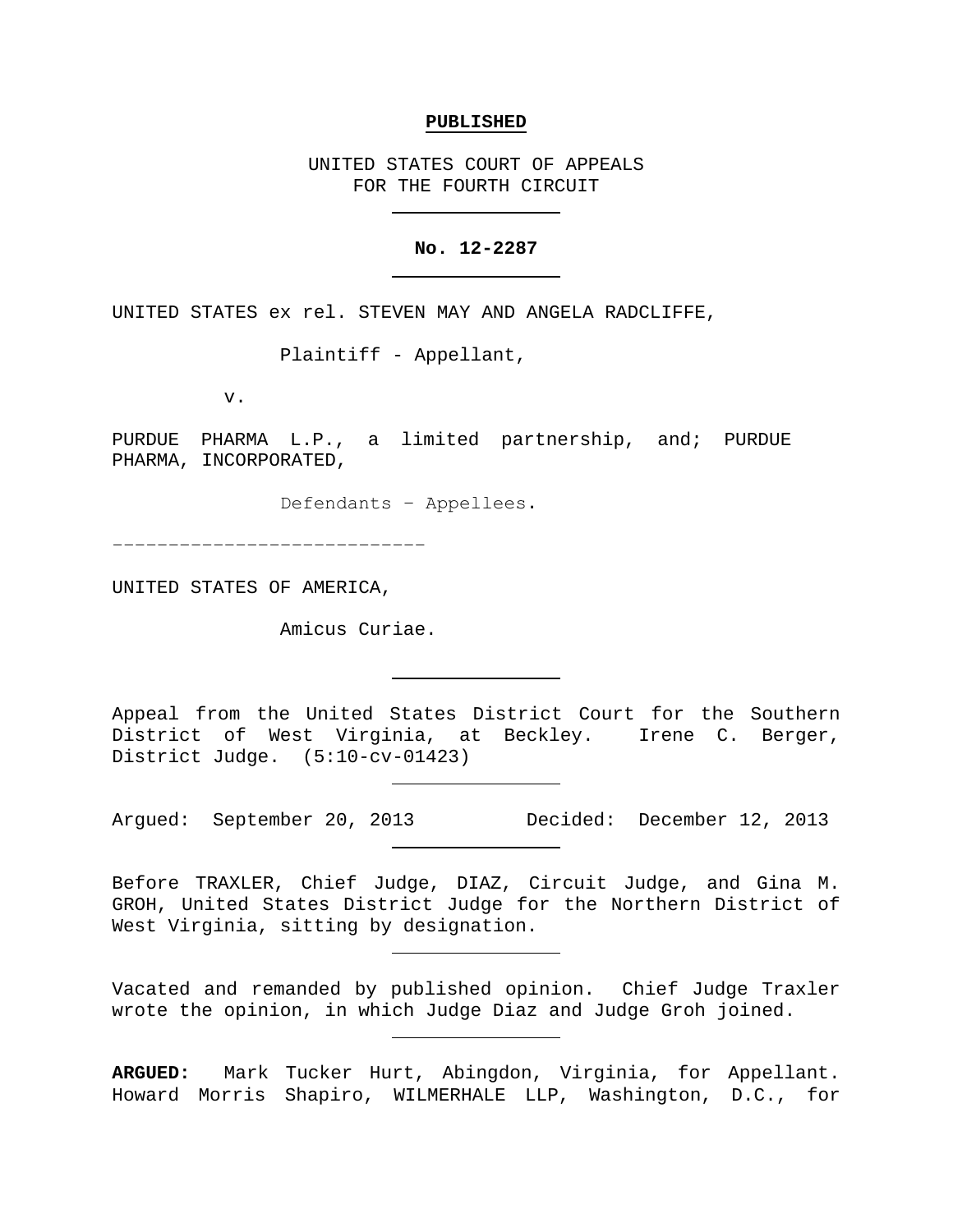#### **PUBLISHED**

UNITED STATES COURT OF APPEALS FOR THE FOURTH CIRCUIT

# **No. 12-2287**

UNITED STATES ex rel. STEVEN MAY AND ANGELA RADCLIFFE,

Plaintiff - Appellant,

v.

PURDUE PHARMA L.P., a limited partnership, and; PURDUE PHARMA, INCORPORATED,

Defendants − Appellees.

−−−−−−−−−−−−−−−−−−−−−−−−−−−−

UNITED STATES OF AMERICA,

Amicus Curiae.

Appeal from the United States District Court for the Southern District of West Virginia, at Beckley. Irene C. Berger, District Judge. (5:10-cv-01423)

Argued: September 20, 2013 Decided: December 12, 2013

Before TRAXLER, Chief Judge, DIAZ, Circuit Judge, and Gina M. GROH, United States District Judge for the Northern District of West Virginia, sitting by designation.

Vacated and remanded by published opinion. Chief Judge Traxler wrote the opinion, in which Judge Diaz and Judge Groh joined.

**ARGUED:** Mark Tucker Hurt, Abingdon, Virginia, for Appellant. Howard Morris Shapiro, WILMERHALE LLP, Washington, D.C., for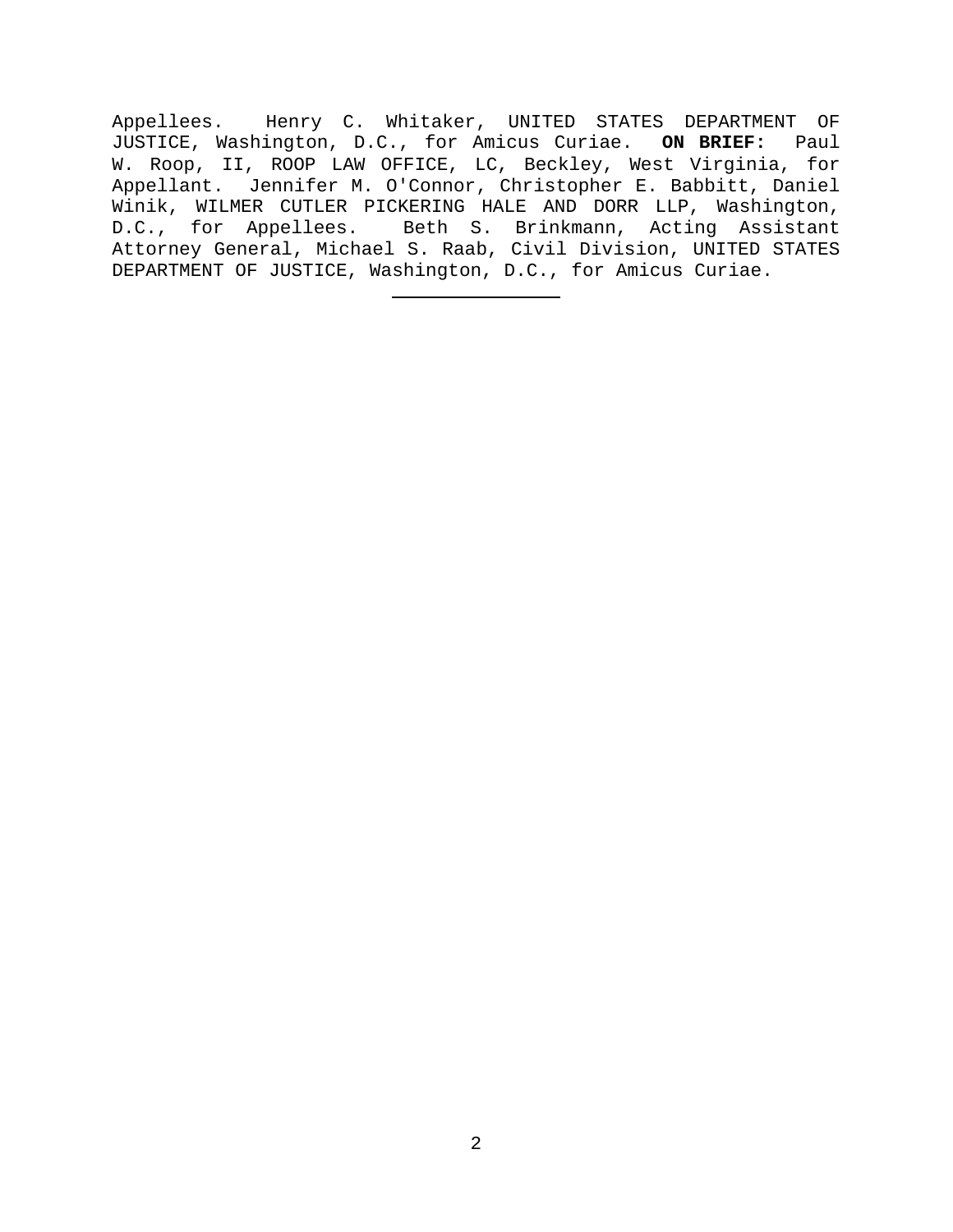Appellees. Henry C. Whitaker, UNITED STATES DEPARTMENT OF JUSTICE, Washington, D.C., for Amicus Curiae. **ON BRIEF:** Paul W. Roop, II, ROOP LAW OFFICE, LC, Beckley, West Virginia, for Appellant. Jennifer M. O'Connor, Christopher E. Babbitt, Daniel Winik, WILMER CUTLER PICKERING HALE AND DORR LLP, Washington, D.C., for Appellees. Beth S. Brinkmann, Acting Assistant Attorney General, Michael S. Raab, Civil Division, UNITED STATES DEPARTMENT OF JUSTICE, Washington, D.C., for Amicus Curiae.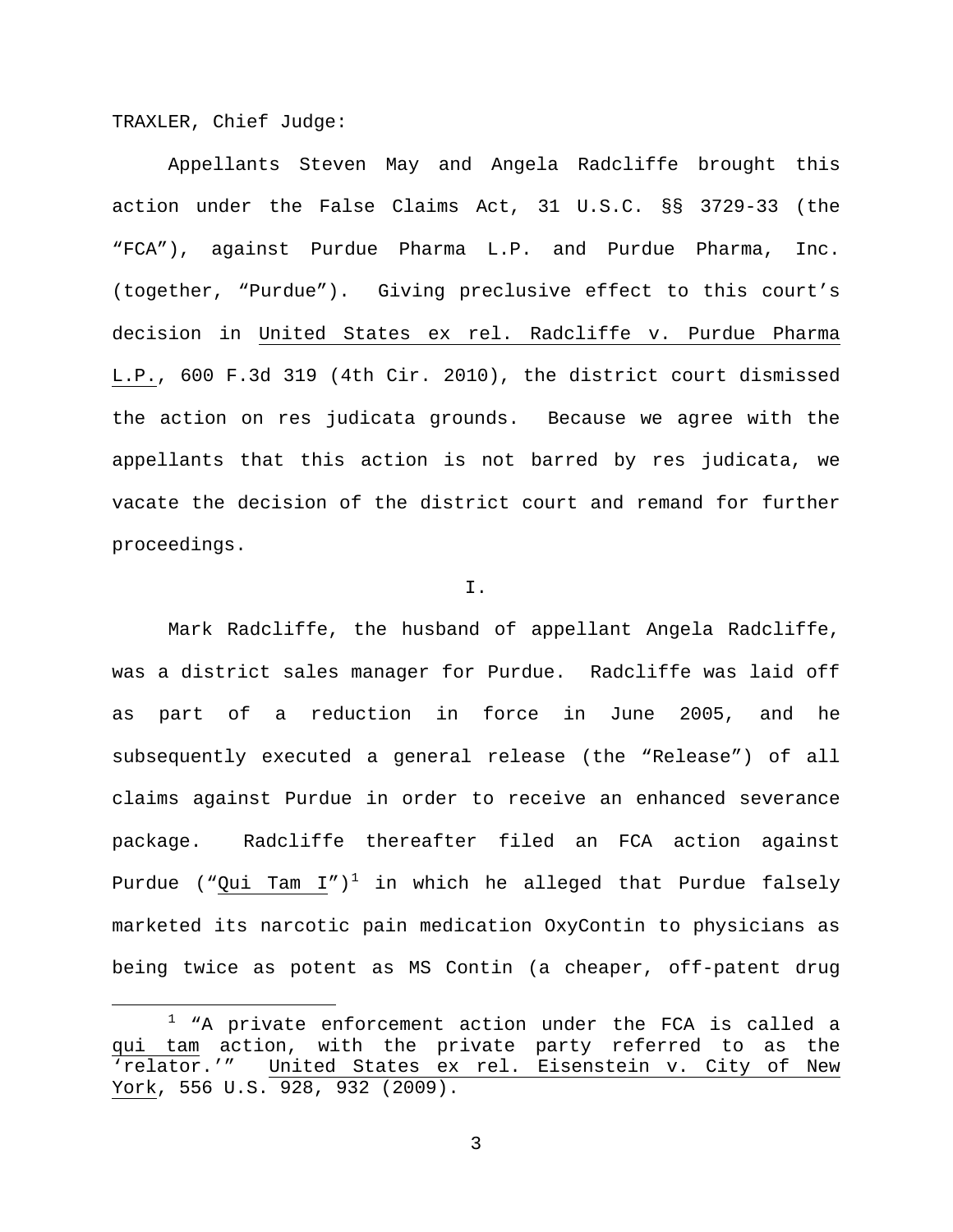TRAXLER, Chief Judge:

Appellants Steven May and Angela Radcliffe brought this action under the False Claims Act, 31 U.S.C. §§ 3729-33 (the "FCA"), against Purdue Pharma L.P. and Purdue Pharma, Inc. (together, "Purdue"). Giving preclusive effect to this court's decision in United States ex rel. Radcliffe v. Purdue Pharma L.P., 600 F.3d 319 (4th Cir. 2010), the district court dismissed the action on res judicata grounds. Because we agree with the appellants that this action is not barred by res judicata, we vacate the decision of the district court and remand for further proceedings.

# I.

Mark Radcliffe, the husband of appellant Angela Radcliffe, was a district sales manager for Purdue. Radcliffe was laid off as part of a reduction in force in June 2005, and he subsequently executed a general release (the "Release") of all claims against Purdue in order to receive an enhanced severance package. Radcliffe thereafter filed an FCA action against Purdue ("Qui Tam  $I'$ )<sup>[1](#page-2-0)</sup> in which he alleged that Purdue falsely marketed its narcotic pain medication OxyContin to physicians as being twice as potent as MS Contin (a cheaper, off-patent drug

<span id="page-2-0"></span> $1$  "A private enforcement action under the FCA is called a qui tam action, with the private party referred to as the<br>'relator.'" United States ex rel. Eisenstein v. City of New United States ex rel. Eisenstein v. City of New York, 556 U.S. 928, 932 (2009).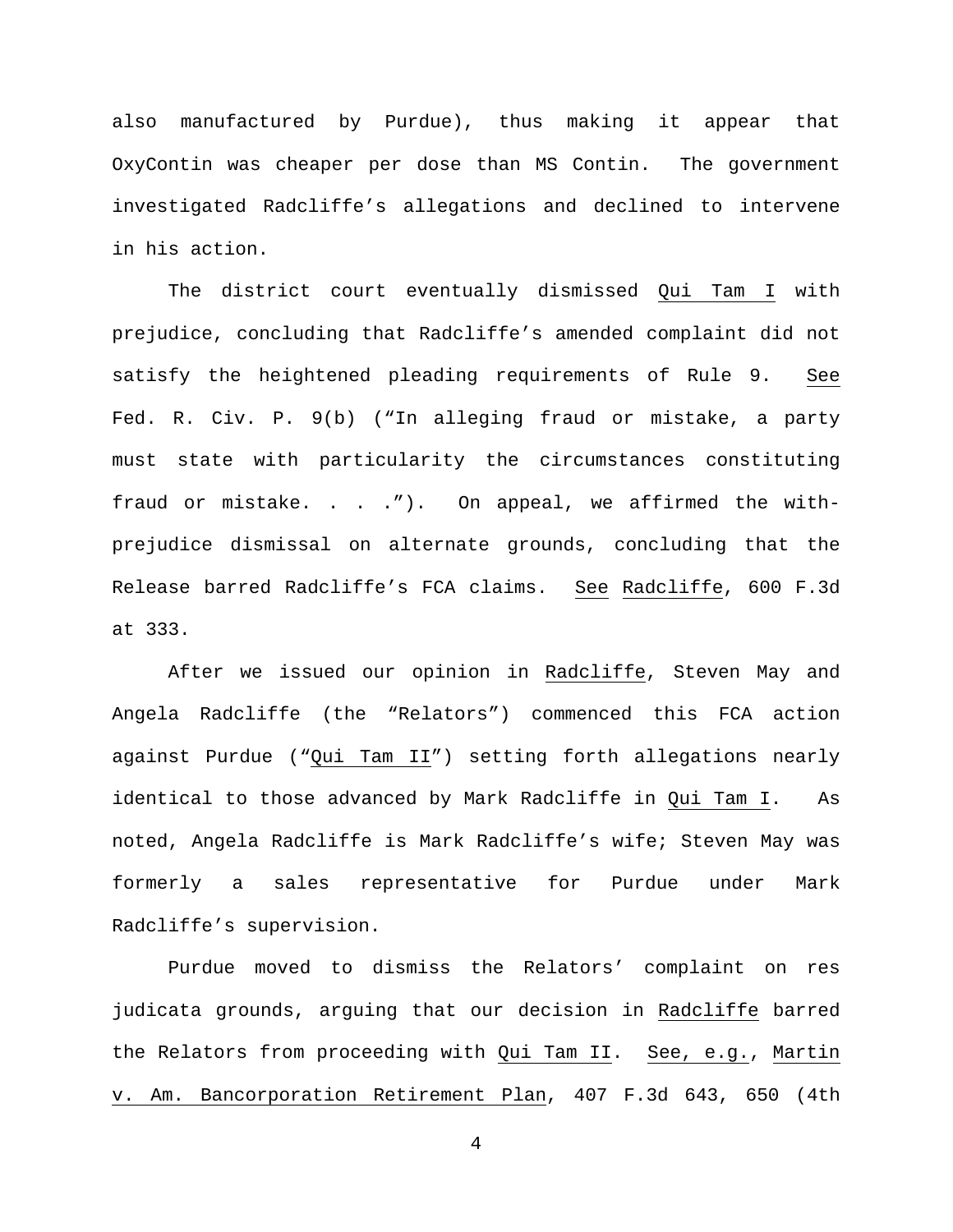also manufactured by Purdue), thus making it appear that OxyContin was cheaper per dose than MS Contin. The government investigated Radcliffe's allegations and declined to intervene in his action.

The district court eventually dismissed Qui Tam I with prejudice, concluding that Radcliffe's amended complaint did not satisfy the heightened pleading requirements of Rule 9. See Fed. R. Civ. P. 9(b) ("In alleging fraud or mistake, a party must state with particularity the circumstances constituting fraud or mistake. . . ."). On appeal, we affirmed the withprejudice dismissal on alternate grounds, concluding that the Release barred Radcliffe's FCA claims. See Radcliffe, 600 F.3d at 333.

After we issued our opinion in Radcliffe, Steven May and Angela Radcliffe (the "Relators") commenced this FCA action against Purdue ("Qui Tam II") setting forth allegations nearly identical to those advanced by Mark Radcliffe in Qui Tam I. As noted, Angela Radcliffe is Mark Radcliffe's wife; Steven May was formerly a sales representative for Purdue under Mark Radcliffe's supervision.

Purdue moved to dismiss the Relators' complaint on res judicata grounds, arguing that our decision in Radcliffe barred the Relators from proceeding with Qui Tam II. See, e.g., Martin v. Am. Bancorporation Retirement Plan, 407 F.3d 643, 650 (4th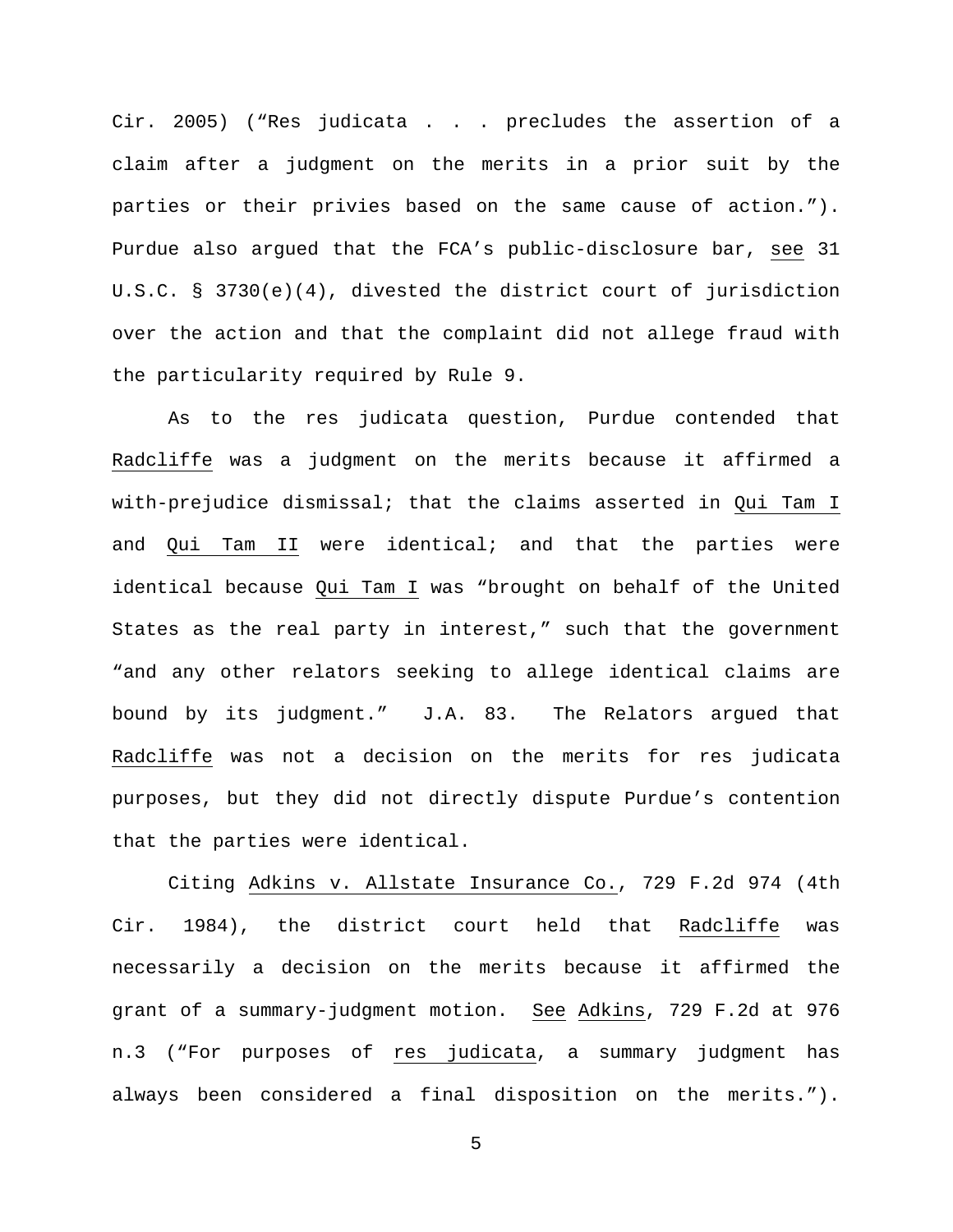Cir. 2005) ("Res judicata . . . precludes the assertion of a claim after a judgment on the merits in a prior suit by the parties or their privies based on the same cause of action."). Purdue also argued that the FCA's public-disclosure bar, see 31 U.S.C. § 3730(e)(4), divested the district court of jurisdiction over the action and that the complaint did not allege fraud with the particularity required by Rule 9.

As to the res judicata question, Purdue contended that Radcliffe was a judgment on the merits because it affirmed a with-prejudice dismissal; that the claims asserted in Qui Tam I and Qui Tam II were identical; and that the parties were identical because Qui Tam I was "brought on behalf of the United States as the real party in interest," such that the government "and any other relators seeking to allege identical claims are bound by its judgment." J.A. 83. The Relators argued that Radcliffe was not a decision on the merits for res judicata purposes, but they did not directly dispute Purdue's contention that the parties were identical.

Citing Adkins v. Allstate Insurance Co., 729 F.2d 974 (4th Cir. 1984), the district court held that Radcliffe was necessarily a decision on the merits because it affirmed the grant of a summary-judgment motion. See Adkins, 729 F.2d at 976 n.3 ("For purposes of res judicata, a summary judgment has always been considered a final disposition on the merits.").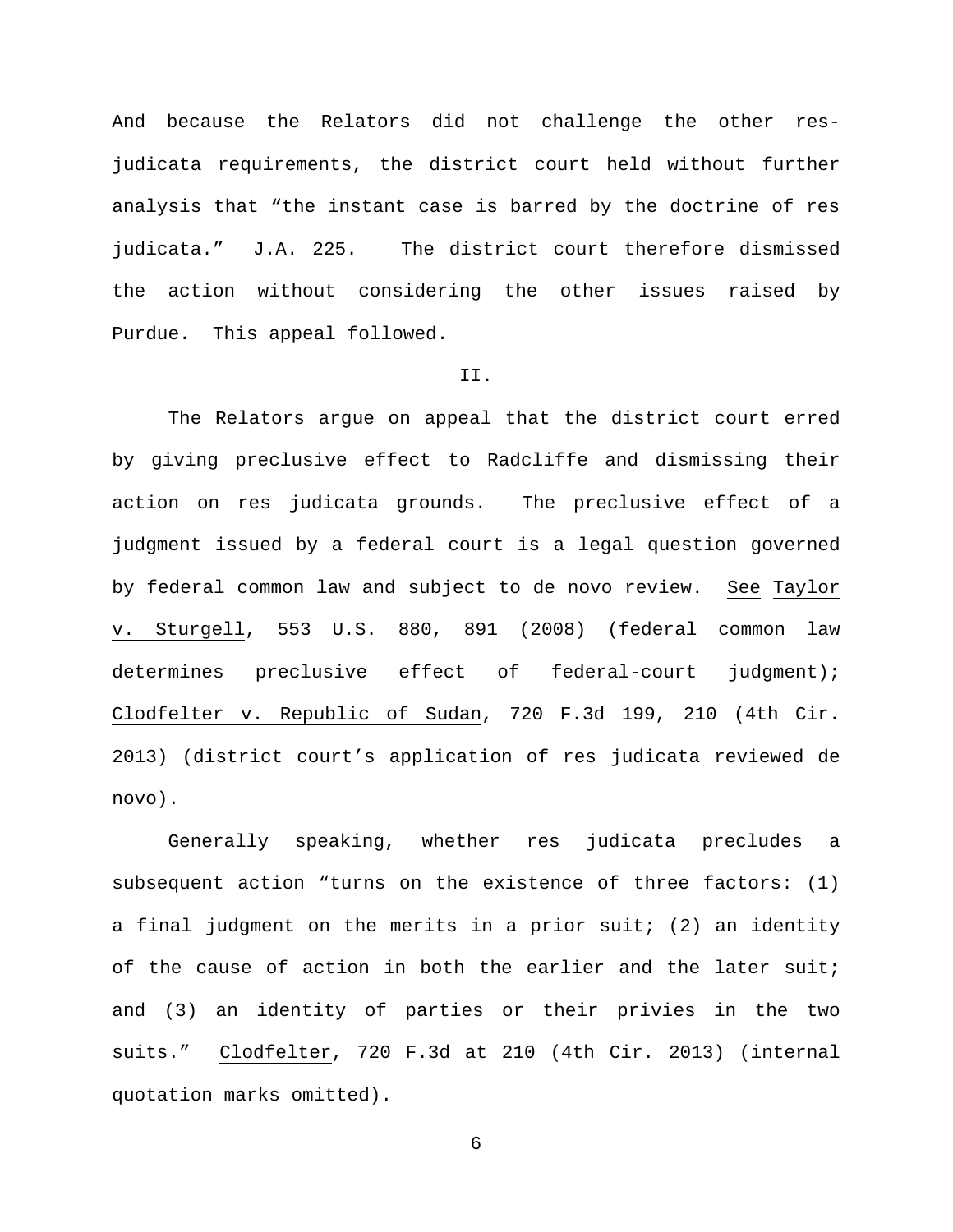And because the Relators did not challenge the other resjudicata requirements, the district court held without further analysis that "the instant case is barred by the doctrine of res judicata." J.A. 225. The district court therefore dismissed the action without considering the other issues raised by Purdue. This appeal followed.

# II.

The Relators argue on appeal that the district court erred by giving preclusive effect to Radcliffe and dismissing their action on res judicata grounds. The preclusive effect of a judgment issued by a federal court is a legal question governed by federal common law and subject to de novo review. See Taylor v. Sturgell, 553 U.S. 880, 891 (2008) (federal common law determines preclusive effect of federal-court judgment); Clodfelter v. Republic of Sudan, 720 F.3d 199, 210 (4th Cir. 2013) (district court's application of res judicata reviewed de novo).

Generally speaking, whether res judicata precludes a subsequent action "turns on the existence of three factors: (1) a final judgment on the merits in a prior suit; (2) an identity of the cause of action in both the earlier and the later suit; and (3) an identity of parties or their privies in the two suits." Clodfelter, 720 F.3d at 210 (4th Cir. 2013) (internal quotation marks omitted).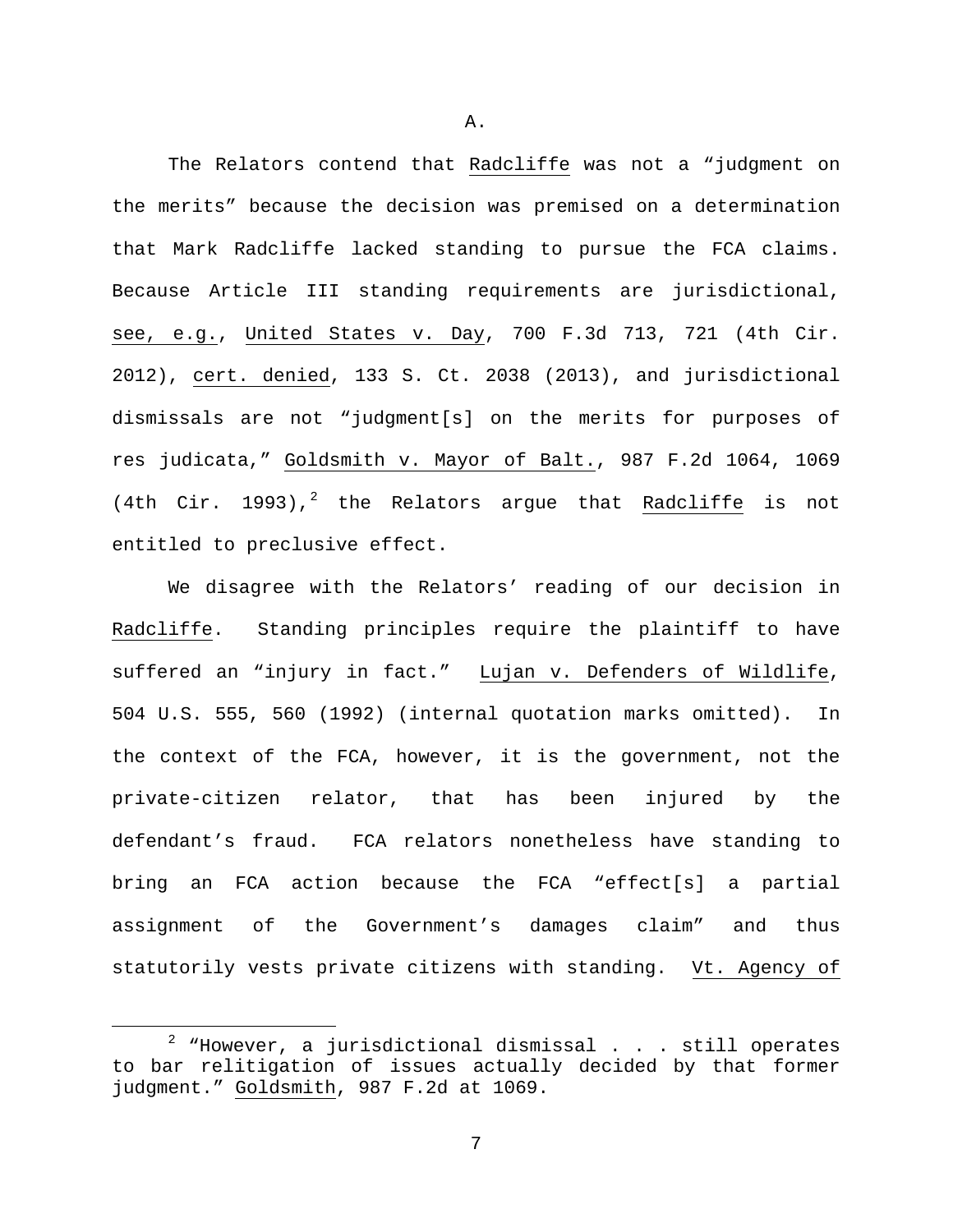The Relators contend that Radcliffe was not a "judgment on the merits" because the decision was premised on a determination that Mark Radcliffe lacked standing to pursue the FCA claims. Because Article III standing requirements are jurisdictional, see, e.g., United States v. Day, 700 F.3d 713, 721 (4th Cir. 2012), cert. denied, 133 S. Ct. 2038 (2013), and jurisdictional dismissals are not "judgment[s] on the merits for purposes of res judicata," Goldsmith v. Mayor of Balt., 987 F.2d 1064, 1069 (4th Cir. 1993),<sup>[2](#page-6-0)</sup> the Relators argue that Radcliffe is not entitled to preclusive effect.

We disagree with the Relators' reading of our decision in Radcliffe. Standing principles require the plaintiff to have suffered an "injury in fact." Lujan v. Defenders of Wildlife, 504 U.S. 555, 560 (1992) (internal quotation marks omitted). In the context of the FCA, however, it is the government, not the private-citizen relator, that has been injured by the defendant's fraud. FCA relators nonetheless have standing to bring an FCA action because the FCA "effect[s] a partial assignment of the Government's damages claim" and thus statutorily vests private citizens with standing. Vt. Agency of

7

A.

<span id="page-6-0"></span> $2$  "However, a jurisdictional dismissal . . . still operates to bar relitigation of issues actually decided by that former judgment." Goldsmith, 987 F.2d at 1069.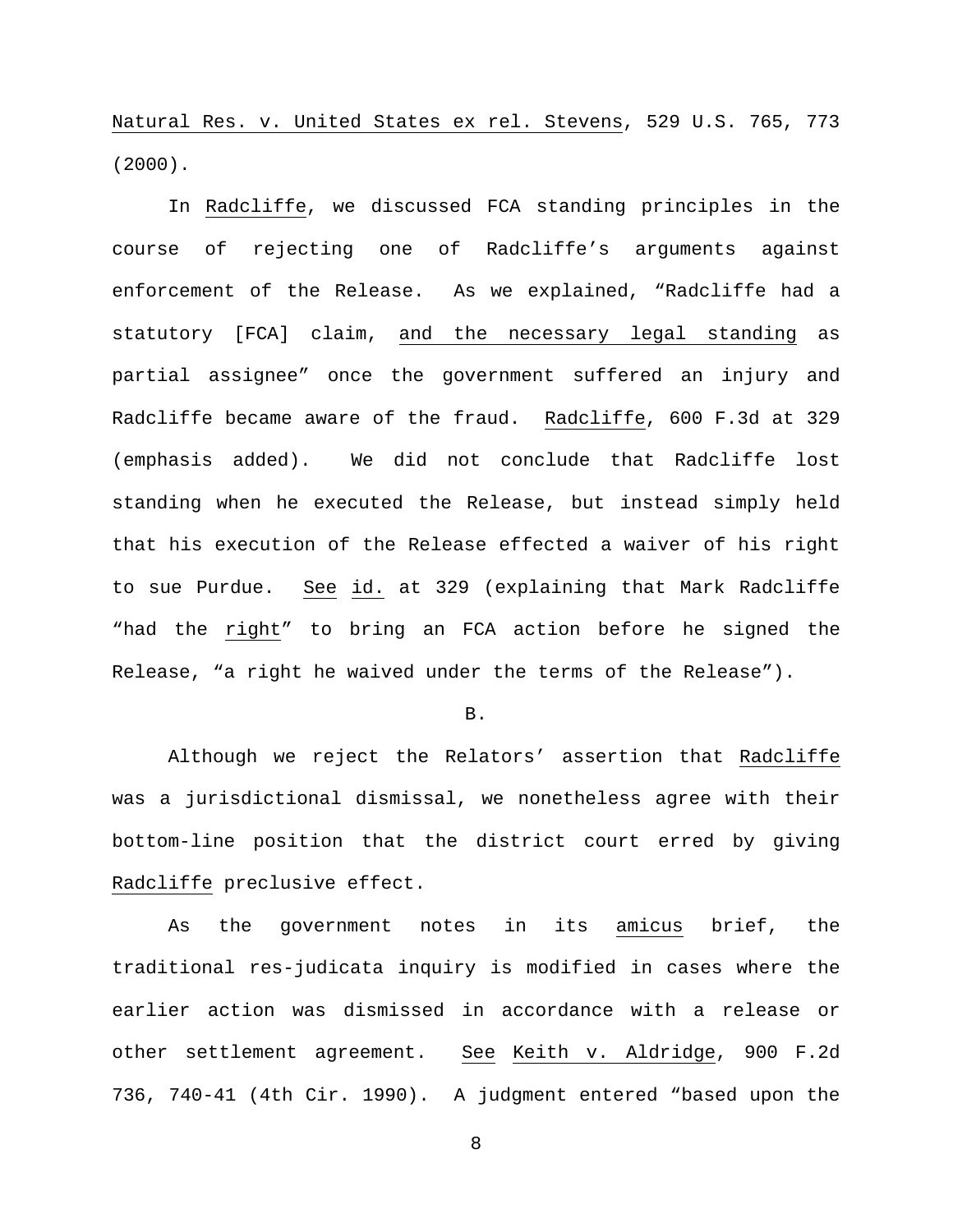Natural Res. v. United States ex rel. Stevens, 529 U.S. 765, 773 (2000).

In Radcliffe, we discussed FCA standing principles in the course of rejecting one of Radcliffe's arguments against enforcement of the Release. As we explained, "Radcliffe had a statutory [FCA] claim, and the necessary legal standing as partial assignee" once the government suffered an injury and Radcliffe became aware of the fraud. Radcliffe, 600 F.3d at 329 (emphasis added). We did not conclude that Radcliffe lost standing when he executed the Release, but instead simply held that his execution of the Release effected a waiver of his right to sue Purdue. See id. at 329 (explaining that Mark Radcliffe "had the right" to bring an FCA action before he signed the Release, "a right he waived under the terms of the Release").

B.

Although we reject the Relators' assertion that Radcliffe was a jurisdictional dismissal, we nonetheless agree with their bottom-line position that the district court erred by giving Radcliffe preclusive effect.

As the government notes in its amicus brief, the traditional res-judicata inquiry is modified in cases where the earlier action was dismissed in accordance with a release or other settlement agreement. See Keith v. Aldridge, 900 F.2d 736, 740-41 (4th Cir. 1990). A judgment entered "based upon the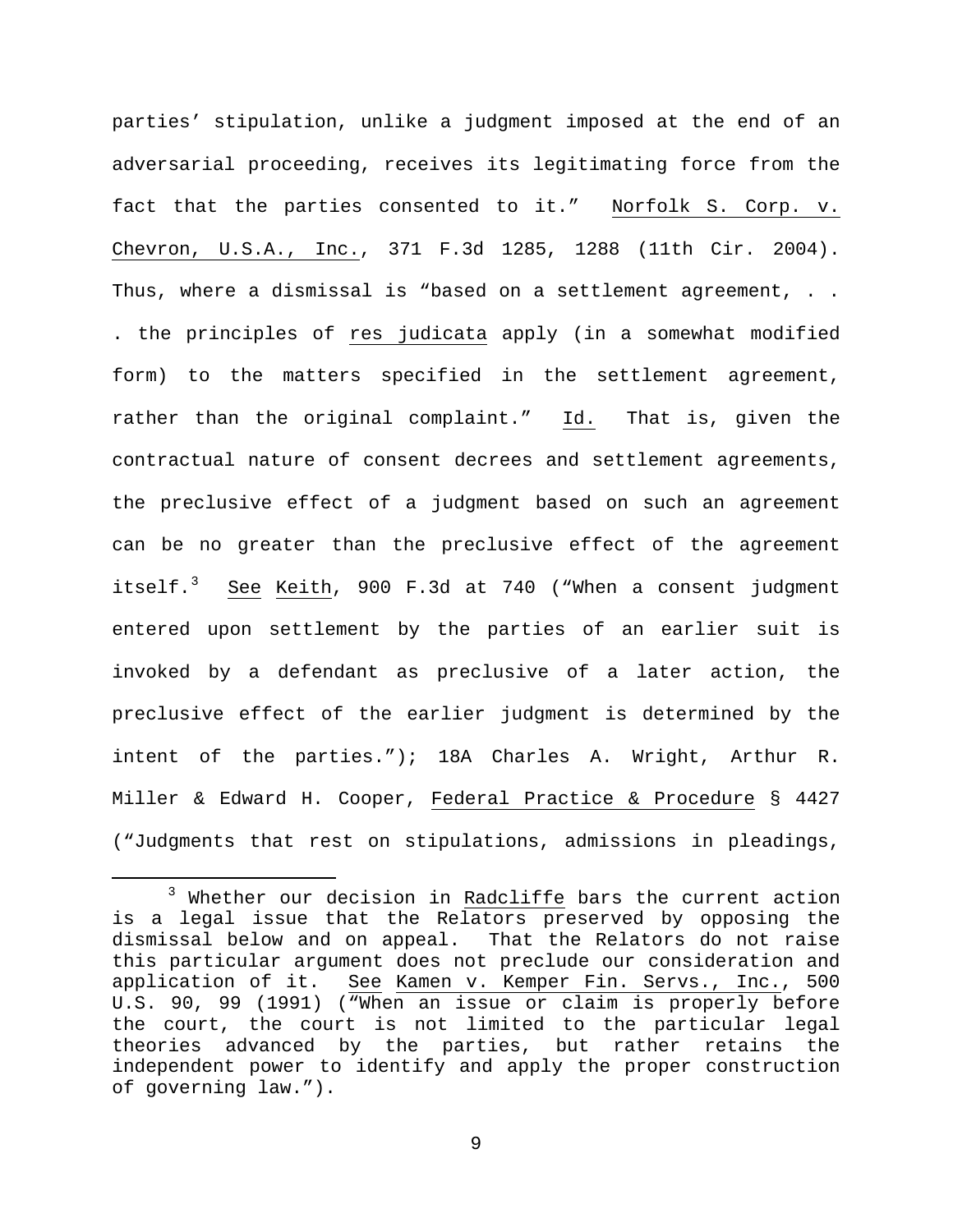parties' stipulation, unlike a judgment imposed at the end of an adversarial proceeding, receives its legitimating force from the fact that the parties consented to it." Norfolk S. Corp. v. Chevron, U.S.A., Inc., 371 F.3d 1285, 1288 (11th Cir. 2004). Thus, where a dismissal is "based on a settlement agreement, .. . the principles of res judicata apply (in a somewhat modified form) to the matters specified in the settlement agreement, rather than the original complaint." Id. That is, given the contractual nature of consent decrees and settlement agreements, the preclusive effect of a judgment based on such an agreement can be no greater than the preclusive effect of the agreement itself.<sup>[3](#page-8-0)</sup> See Keith, 900 F.3d at 740 ("When a consent judgment entered upon settlement by the parties of an earlier suit is invoked by a defendant as preclusive of a later action, the preclusive effect of the earlier judgment is determined by the intent of the parties."); 18A Charles A. Wright, Arthur R. Miller & Edward H. Cooper, Federal Practice & Procedure § 4427 ("Judgments that rest on stipulations, admissions in pleadings,

<span id="page-8-0"></span><sup>&</sup>lt;sup>3</sup> Whether our decision in Radcliffe bars the current action is a legal issue that the Relators preserved by opposing the dismissal below and on appeal. That the Relators do not raise this particular argument does not preclude our consideration and application of it. See Kamen v. Kemper Fin. Servs., Inc., 500 U.S. 90, 99 (1991) ("When an issue or claim is properly before the court, the court is not limited to the particular legal theories advanced by the parties, but rather retains the independent power to identify and apply the proper construction of governing law.").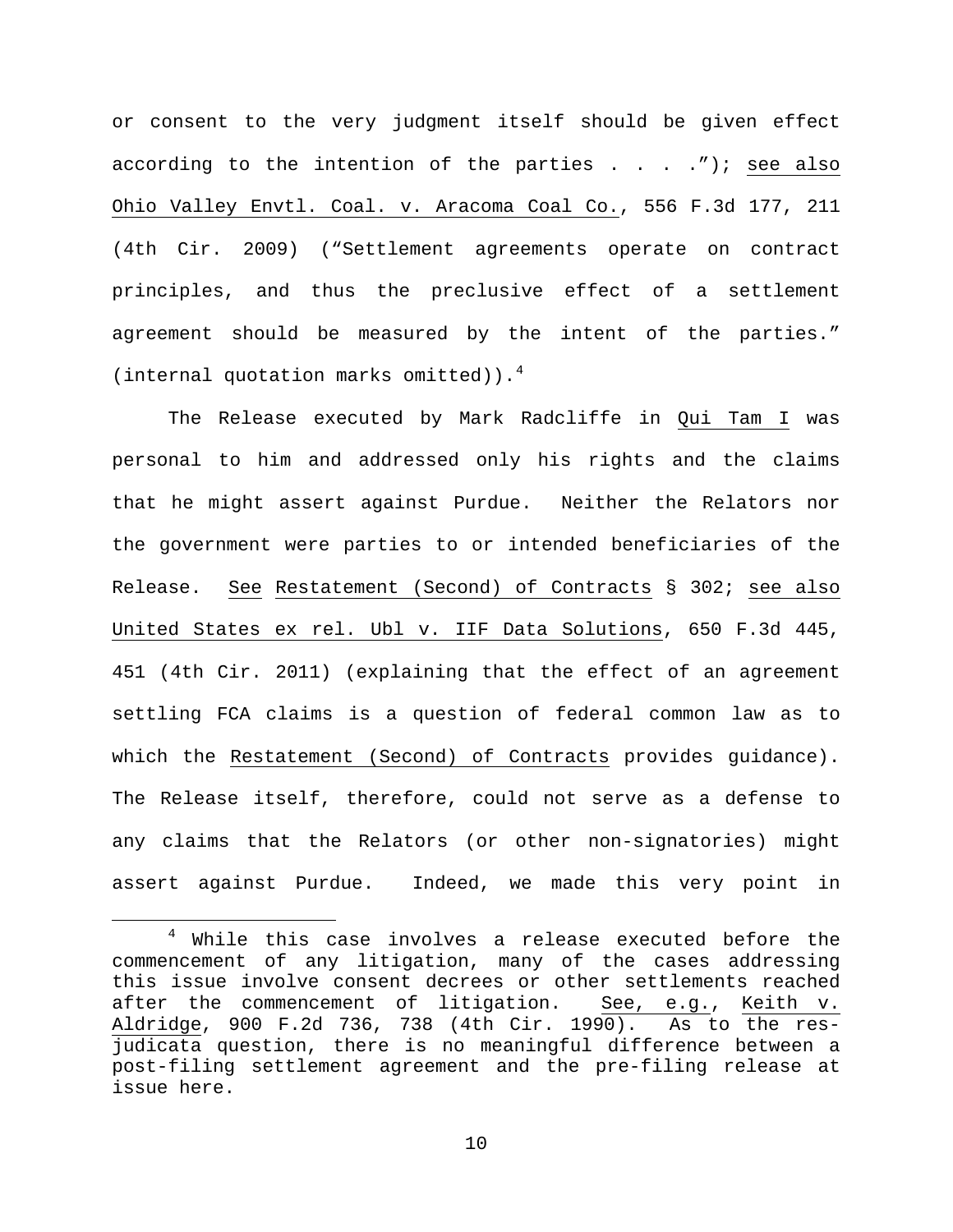or consent to the very judgment itself should be given effect according to the intention of the parties . . . ."); see also Ohio Valley Envtl. Coal. v. Aracoma Coal Co., 556 F.3d 177, 211 (4th Cir. 2009) ("Settlement agreements operate on contract principles, and thus the preclusive effect of a settlement agreement should be measured by the intent of the parties." (internal quotation marks omitted)). $4$ 

The Release executed by Mark Radcliffe in Qui Tam I was personal to him and addressed only his rights and the claims that he might assert against Purdue. Neither the Relators nor the government were parties to or intended beneficiaries of the Release. See Restatement (Second) of Contracts § 302; see also United States ex rel. Ubl v. IIF Data Solutions, 650 F.3d 445, 451 (4th Cir. 2011) (explaining that the effect of an agreement settling FCA claims is a question of federal common law as to which the Restatement (Second) of Contracts provides guidance). The Release itself, therefore, could not serve as a defense to any claims that the Relators (or other non-signatories) might assert against Purdue. Indeed, we made this very point in

<span id="page-9-0"></span><sup>&</sup>lt;sup>4</sup> While this case involves a release executed before the commencement of any litigation, many of the cases addressing this issue involve consent decrees or other settlements reached after the commencement of litigation. See, e.g., Keith v. Aldridge, 900 F.2d 736, 738 (4th Cir. 1990). As to the resjudicata question, there is no meaningful difference between a post-filing settlement agreement and the pre-filing release at issue here.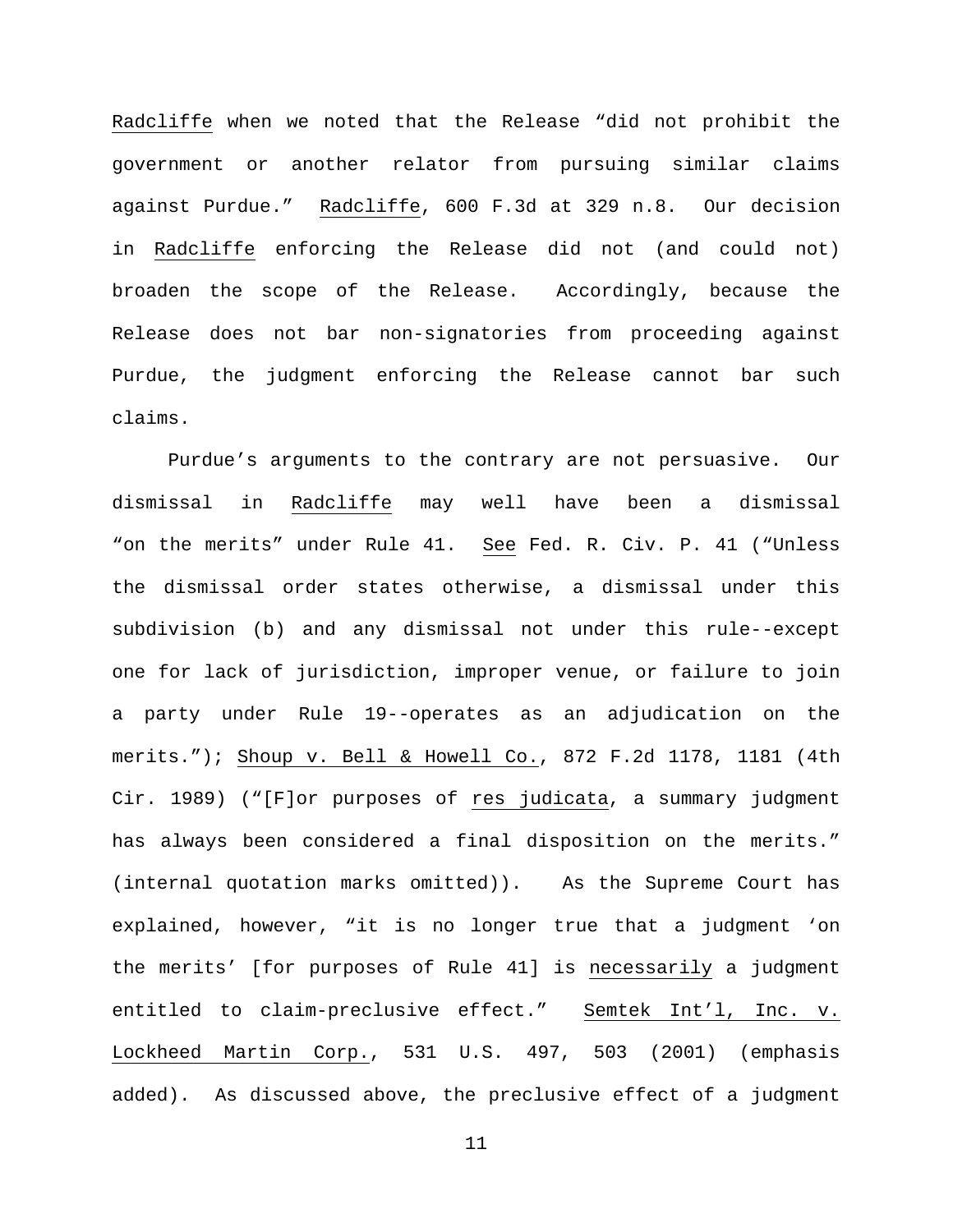Radcliffe when we noted that the Release "did not prohibit the government or another relator from pursuing similar claims against Purdue." Radcliffe, 600 F.3d at 329 n.8. Our decision in Radcliffe enforcing the Release did not (and could not) broaden the scope of the Release. Accordingly, because the Release does not bar non-signatories from proceeding against Purdue, the judgment enforcing the Release cannot bar such claims.

Purdue's arguments to the contrary are not persuasive. Our dismissal in Radcliffe may well have been a dismissal "on the merits" under Rule 41. See Fed. R. Civ. P. 41 ("Unless the dismissal order states otherwise, a dismissal under this subdivision (b) and any dismissal not under this rule--except one for lack of jurisdiction, improper venue, or failure to join a party under Rule 19--operates as an adjudication on the merits."); Shoup v. Bell & Howell Co., 872 F.2d 1178, 1181 (4th Cir. 1989) ("[F]or purposes of res judicata, a summary judgment has always been considered a final disposition on the merits." (internal quotation marks omitted)). As the Supreme Court has explained, however, "it is no longer true that a judgment 'on the merits' [for purposes of Rule 41] is necessarily a judgment entitled to claim-preclusive effect." Semtek Int'l, Inc. v. Lockheed Martin Corp., 531 U.S. 497, 503 (2001) (emphasis added). As discussed above, the preclusive effect of a judgment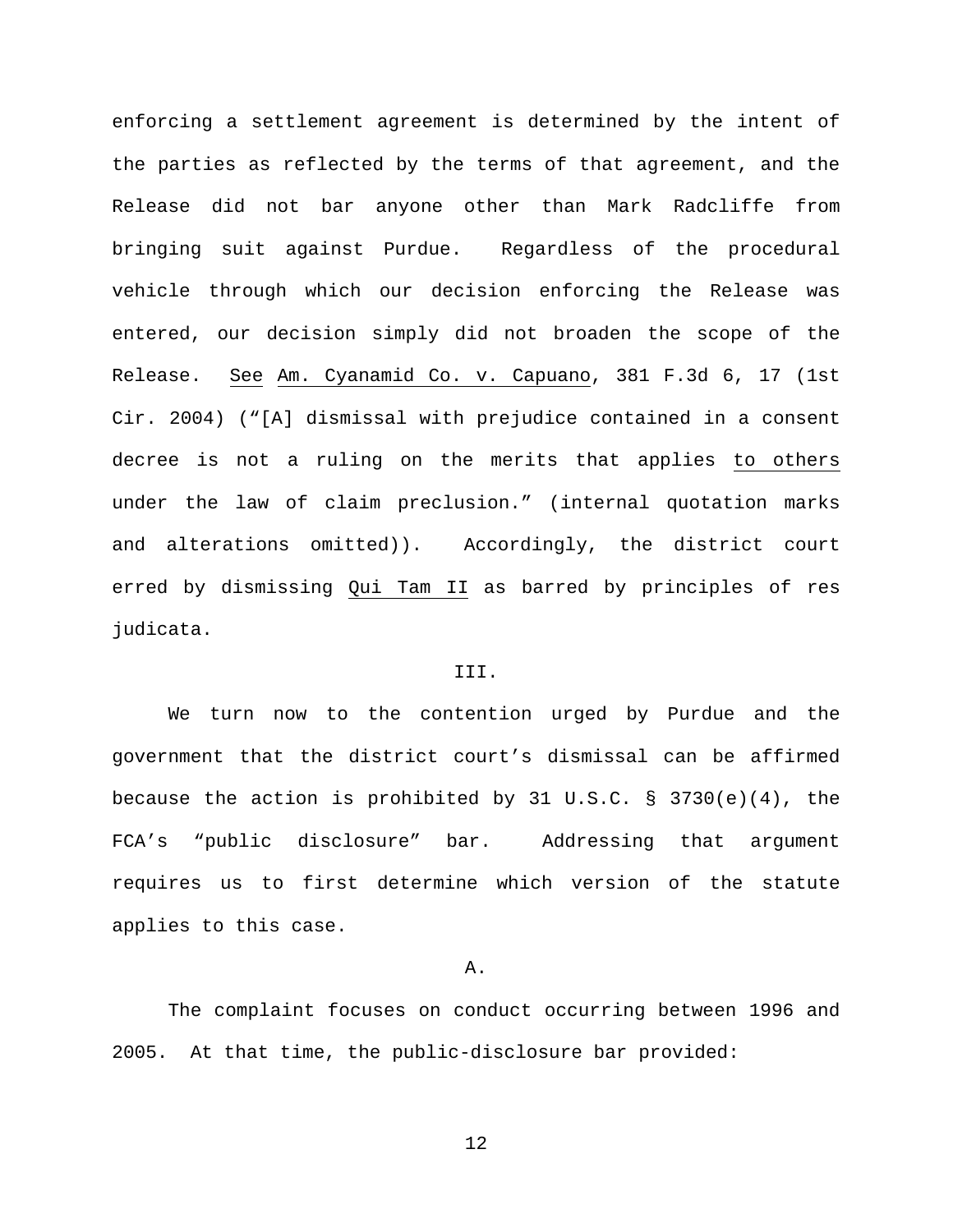enforcing a settlement agreement is determined by the intent of the parties as reflected by the terms of that agreement, and the Release did not bar anyone other than Mark Radcliffe from bringing suit against Purdue. Regardless of the procedural vehicle through which our decision enforcing the Release was entered, our decision simply did not broaden the scope of the Release. See Am. Cyanamid Co. v. Capuano, 381 F.3d 6, 17 (1st Cir. 2004) ("[A] dismissal with prejudice contained in a consent decree is not a ruling on the merits that applies to others under the law of claim preclusion." (internal quotation marks and alterations omitted)). Accordingly, the district court erred by dismissing Qui Tam II as barred by principles of res judicata.

#### III.

We turn now to the contention urged by Purdue and the government that the district court's dismissal can be affirmed because the action is prohibited by 31 U.S.C. § 3730(e)(4), the FCA's "public disclosure" bar. Addressing that argument requires us to first determine which version of the statute applies to this case.

#### A.

The complaint focuses on conduct occurring between 1996 and 2005. At that time, the public-disclosure bar provided: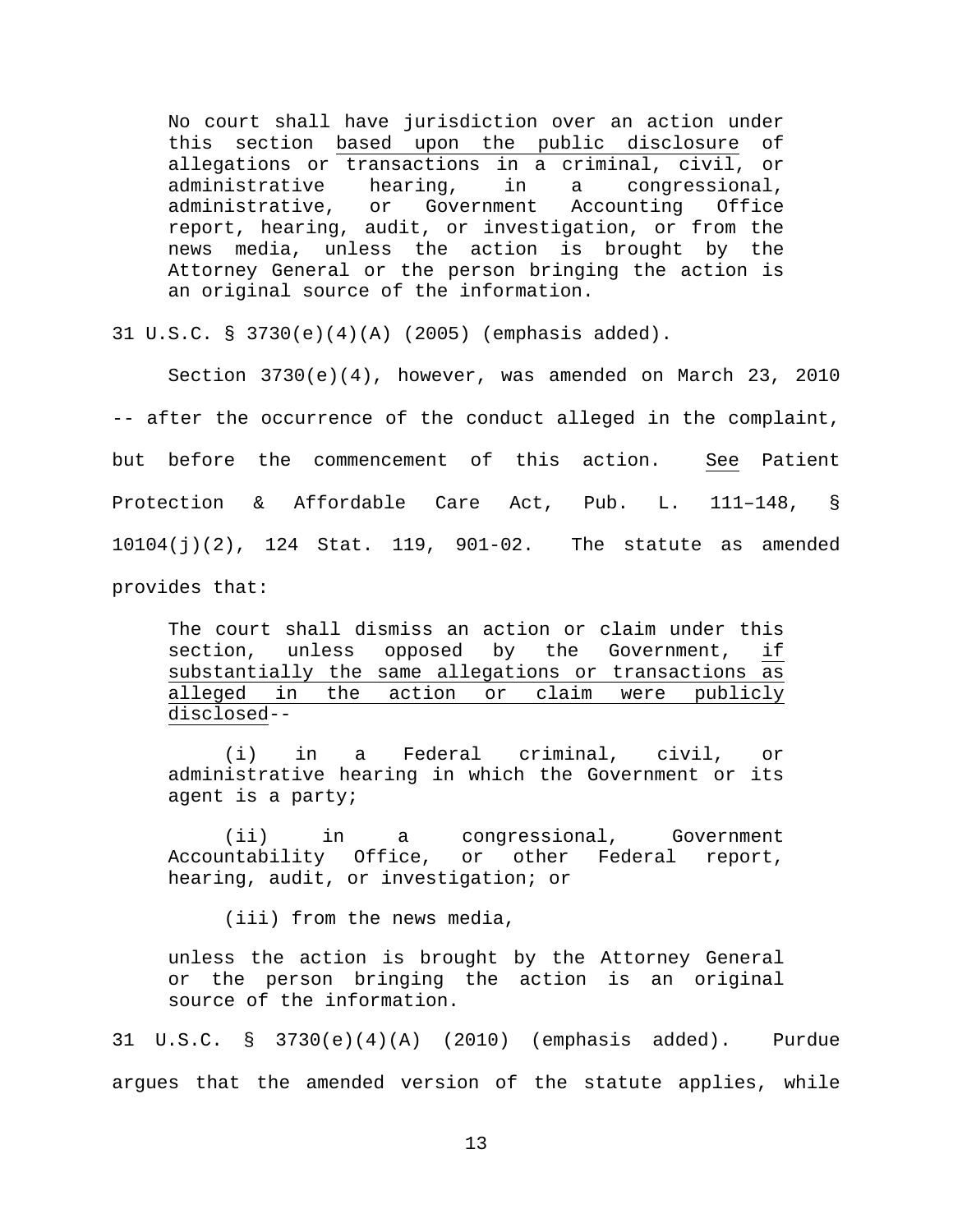No court shall have jurisdiction over an action under this section based upon the public disclosure of allegations or transactions in a criminal, civil, or administrative hearing, in a congressional, administrative hearing, in a congressional,<br>administrative, or Government Accounting Office administrative, report, hearing, audit, or investigation, or from the news media, unless the action is brought by the Attorney General or the person bringing the action is an original source of the information.

31 U.S.C. § 3730(e)(4)(A) (2005) (emphasis added).

Section 3730(e)(4), however, was amended on March 23, 2010 -- after the occurrence of the conduct alleged in the complaint, but before the commencement of this action. See Patient Protection & Affordable Care Act, Pub. L. 111–148, § 10104(j)(2), 124 Stat. 119, 901-02. The statute as amended provides that:

The court shall dismiss an action or claim under this<br>section, unless opposed by the Government, if section, unless opposed by the Government, substantially the same allegations or transactions as<br>alleged in the action or claim were publicly in the action or claim were publicly disclosed--

(i) in a Federal criminal, civil, or administrative hearing in which the Government or its agent is a party;

(ii) in a congressional, Government Accountability Office, or other Federal report, hearing, audit, or investigation; or

(iii) from the news media,

unless the action is brought by the Attorney General or the person bringing the action is an original source of the information.

31 U.S.C. § 3730(e)(4)(A) (2010) (emphasis added). Purdue argues that the amended version of the statute applies, while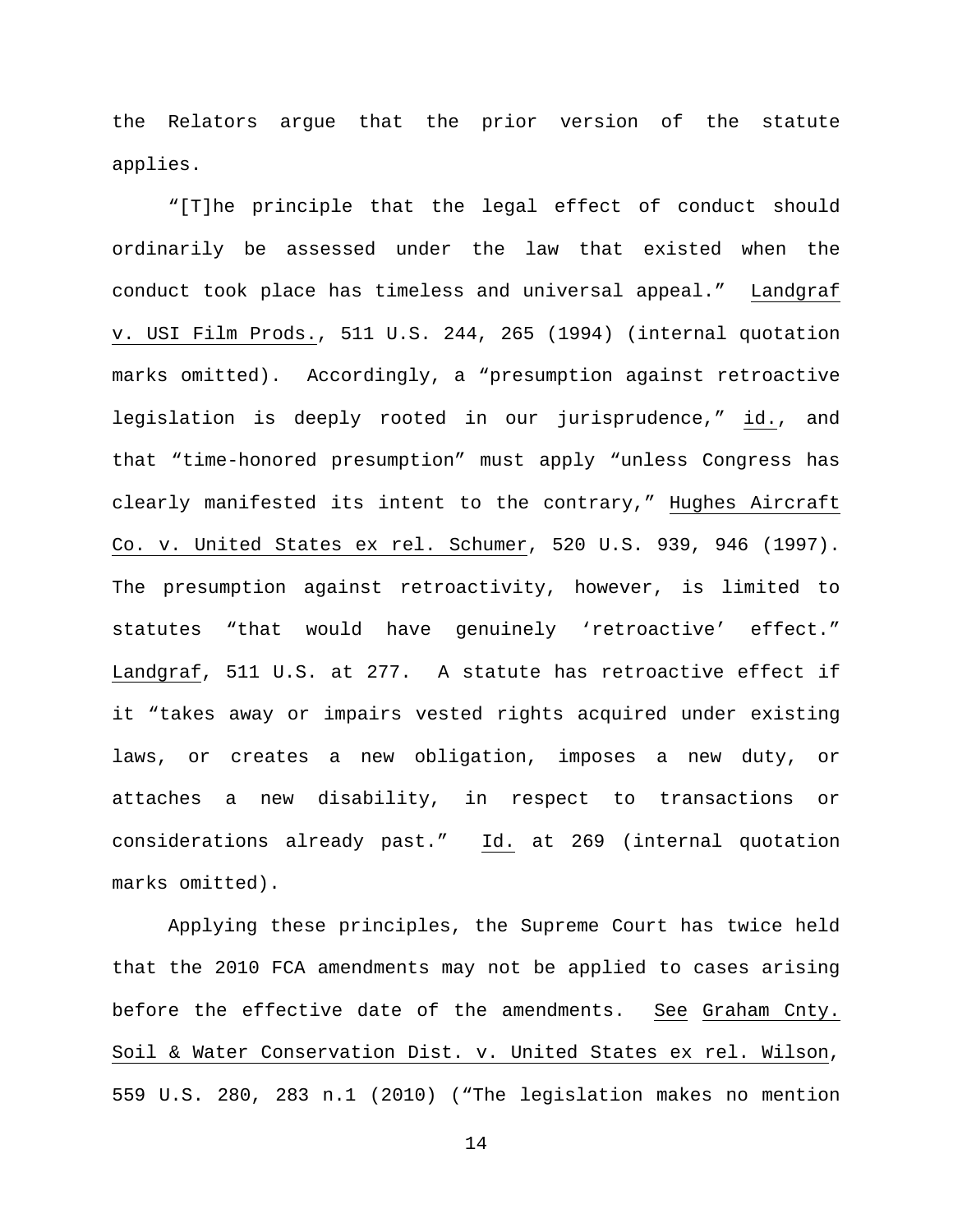the Relators argue that the prior version of the statute applies.

"[T]he principle that the legal effect of conduct should ordinarily be assessed under the law that existed when the conduct took place has timeless and universal appeal." Landgraf v. USI Film Prods., 511 U.S. 244, 265 (1994) (internal quotation marks omitted). Accordingly, a "presumption against retroactive legislation is deeply rooted in our jurisprudence," id., and that "time-honored presumption" must apply "unless Congress has clearly manifested its intent to the contrary," Hughes Aircraft Co. v. United States ex rel. Schumer, 520 U.S. 939, 946 (1997). The presumption against retroactivity, however, is limited to statutes "that would have genuinely 'retroactive' effect." Landgraf, 511 U.S. at 277. A statute has retroactive effect if it "takes away or impairs vested rights acquired under existing laws, or creates a new obligation, imposes a new duty, or attaches a new disability, in respect to transactions or considerations already past." Id. at 269 (internal quotation marks omitted).

Applying these principles, the Supreme Court has twice held that the 2010 FCA amendments may not be applied to cases arising before the effective date of the amendments. See Graham Cnty. Soil & Water Conservation Dist. v. United States ex rel. Wilson, 559 U.S. 280, 283 n.1 (2010) ("The legislation makes no mention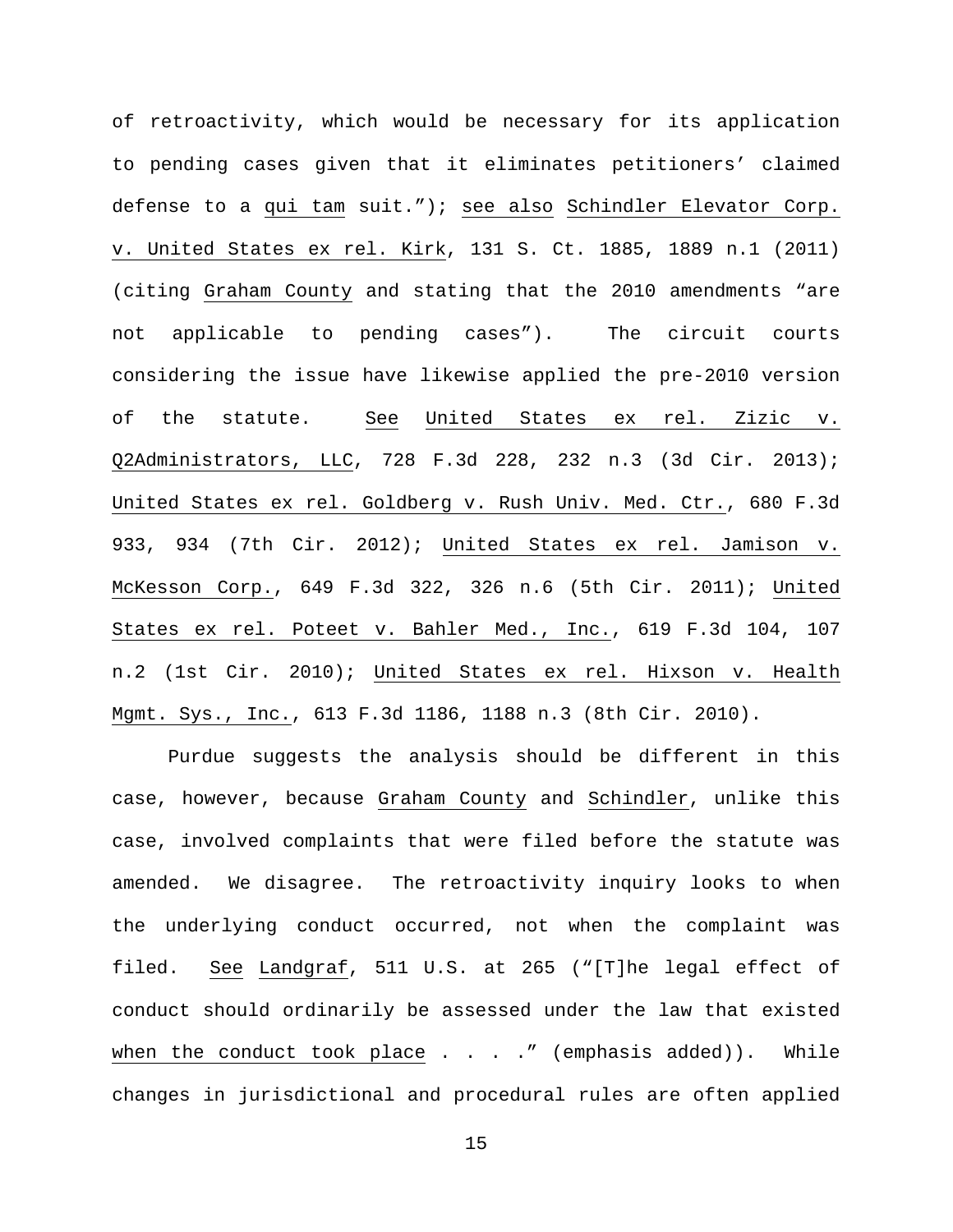of retroactivity, which would be necessary for its application to pending cases given that it eliminates petitioners' claimed defense to a qui tam suit."); see also Schindler Elevator Corp. v. United States ex rel. Kirk, 131 S. Ct. 1885, 1889 n.1 (2011) (citing Graham County and stating that the 2010 amendments "are not applicable to pending cases"). The circuit courts considering the issue have likewise applied the pre-2010 version of the statute. See United States ex rel. Zizic v. Q2Administrators, LLC, 728 F.3d 228, 232 n.3 (3d Cir. 2013); United States ex rel. Goldberg v. Rush Univ. Med. Ctr., 680 F.3d 933, 934 (7th Cir. 2012); United States ex rel. Jamison v. McKesson Corp., 649 F.3d 322, 326 n.6 (5th Cir. 2011); United States ex rel. Poteet v. Bahler Med., Inc., 619 F.3d 104, 107 n.2 (1st Cir. 2010); United States ex rel. Hixson v. Health Mgmt. Sys., Inc., 613 F.3d 1186, 1188 n.3 (8th Cir. 2010).

Purdue suggests the analysis should be different in this case, however, because Graham County and Schindler, unlike this case, involved complaints that were filed before the statute was amended. We disagree. The retroactivity inquiry looks to when the underlying conduct occurred, not when the complaint was filed. See Landgraf, 511 U.S. at 265 ("[T]he legal effect of conduct should ordinarily be assessed under the law that existed when the conduct took place  $\ldots$  . . " (emphasis added)). While changes in jurisdictional and procedural rules are often applied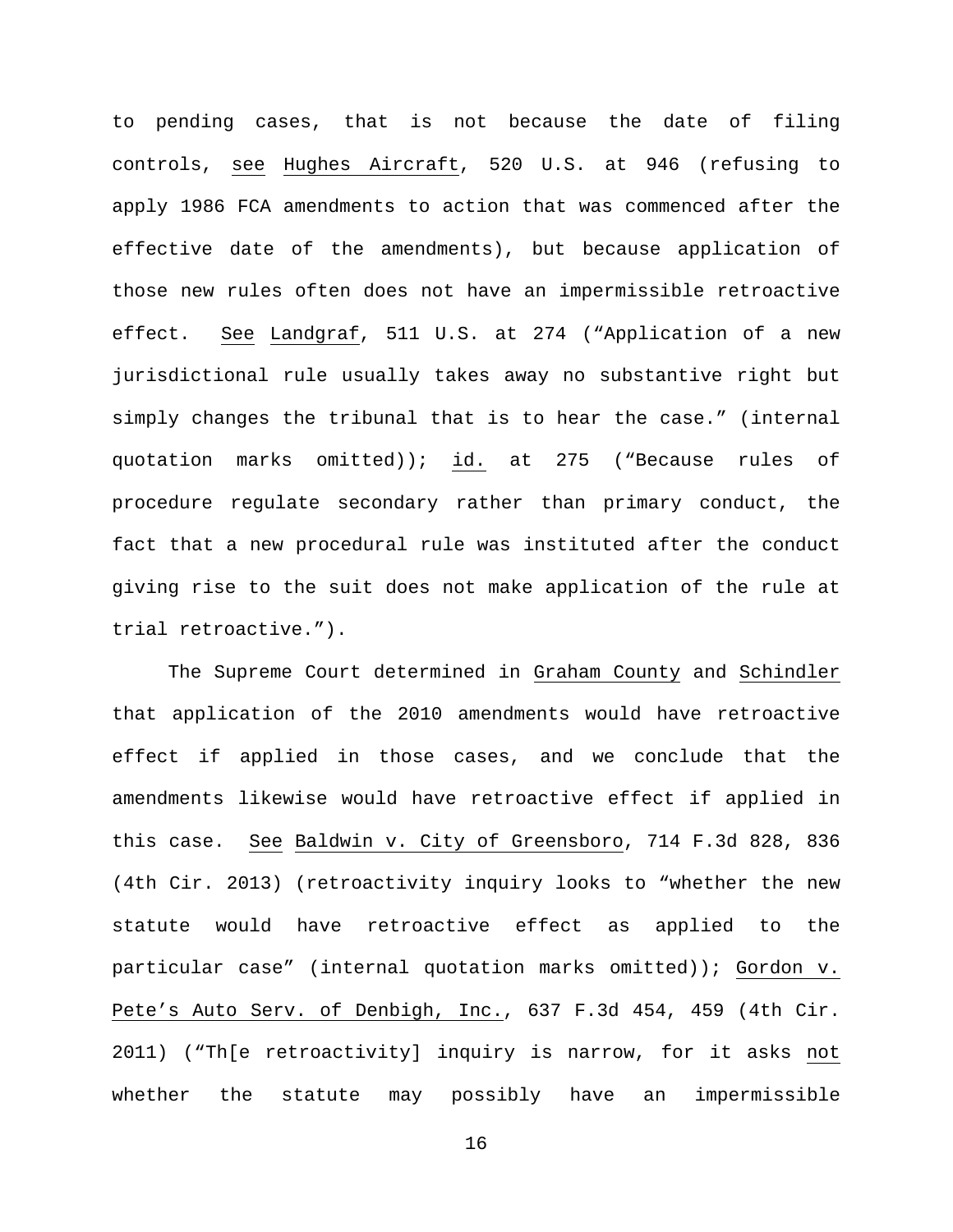to pending cases, that is not because the date of filing controls, see Hughes Aircraft, 520 U.S. at 946 (refusing to apply 1986 FCA amendments to action that was commenced after the effective date of the amendments), but because application of those new rules often does not have an impermissible retroactive effect. See Landgraf, 511 U.S. at 274 ("Application of a new jurisdictional rule usually takes away no substantive right but simply changes the tribunal that is to hear the case." (internal quotation marks omitted)); id. at 275 ("Because rules of procedure regulate secondary rather than primary conduct, the fact that a new procedural rule was instituted after the conduct giving rise to the suit does not make application of the rule at trial retroactive.").

The Supreme Court determined in Graham County and Schindler that application of the 2010 amendments would have retroactive effect if applied in those cases, and we conclude that the amendments likewise would have retroactive effect if applied in this case. See Baldwin v. City of Greensboro, 714 F.3d 828, 836 (4th Cir. 2013) (retroactivity inquiry looks to "whether the new statute would have retroactive effect as applied to the particular case" (internal quotation marks omitted)); Gordon v. Pete's Auto Serv. of Denbigh, Inc., 637 F.3d 454, 459 (4th Cir. 2011) ("Th[e retroactivity] inquiry is narrow, for it asks not whether the statute may possibly have an impermissible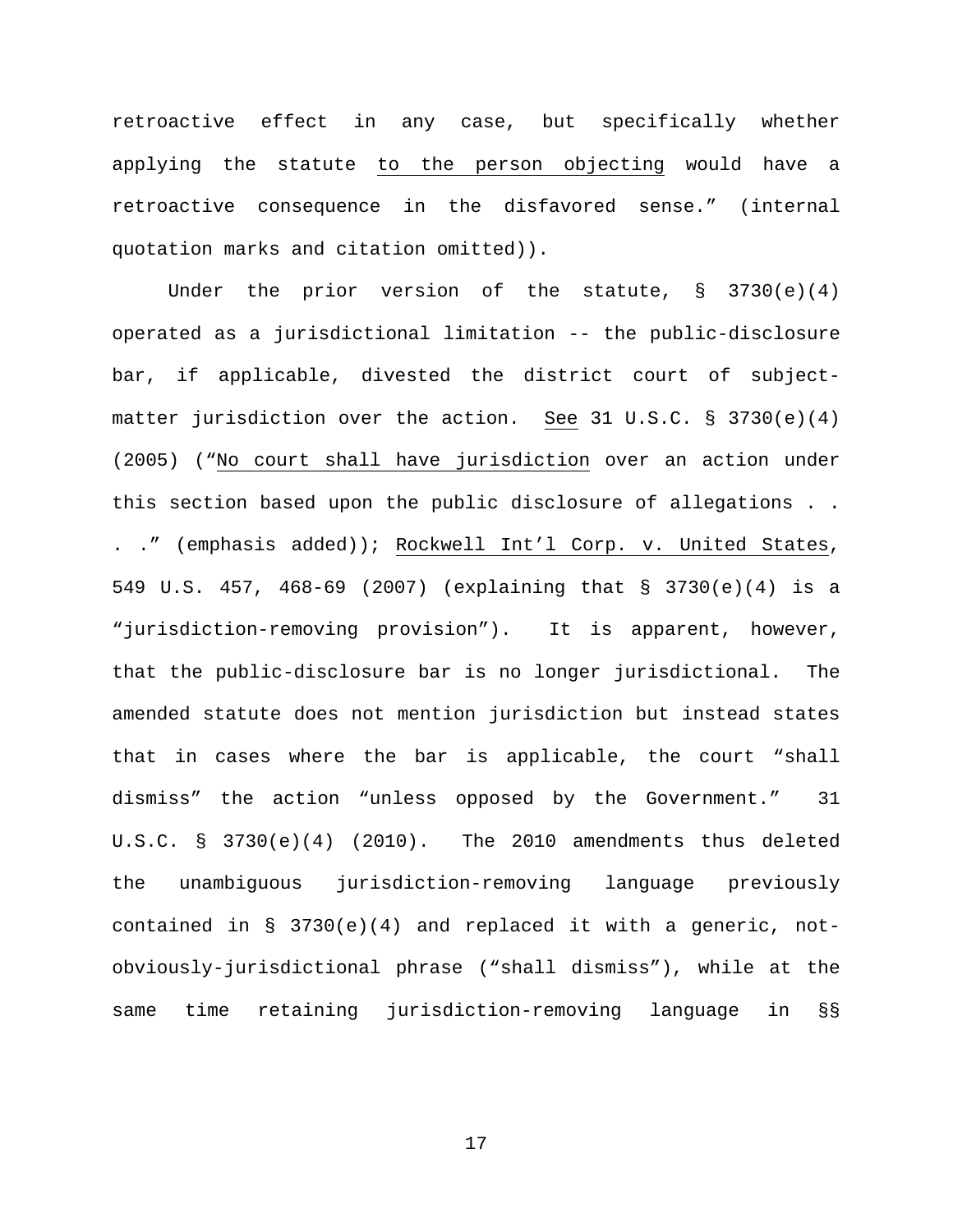retroactive effect in any case, but specifically whether applying the statute to the person objecting would have a retroactive consequence in the disfavored sense." (internal quotation marks and citation omitted)).

Under the prior version of the statute, § 3730(e)(4) operated as a jurisdictional limitation -- the public-disclosure bar, if applicable, divested the district court of subjectmatter jurisdiction over the action. See 31 U.S.C. § 3730(e)(4) (2005) ("No court shall have jurisdiction over an action under this section based upon the public disclosure of allegations . . . ." (emphasis added)); Rockwell Int'l Corp. v. United States, 549 U.S. 457, 468-69 (2007) (explaining that § 3730(e)(4) is a "jurisdiction-removing provision"). It is apparent, however, that the public-disclosure bar is no longer jurisdictional. The amended statute does not mention jurisdiction but instead states that in cases where the bar is applicable, the court "shall dismiss" the action "unless opposed by the Government." 31  $U.S.C. \S 3730(e)(4)$  (2010). The 2010 amendments thus deleted the unambiguous jurisdiction-removing language previously contained in § 3730(e)(4) and replaced it with a generic, notobviously-jurisdictional phrase ("shall dismiss"), while at the same time retaining jurisdiction-removing language in §§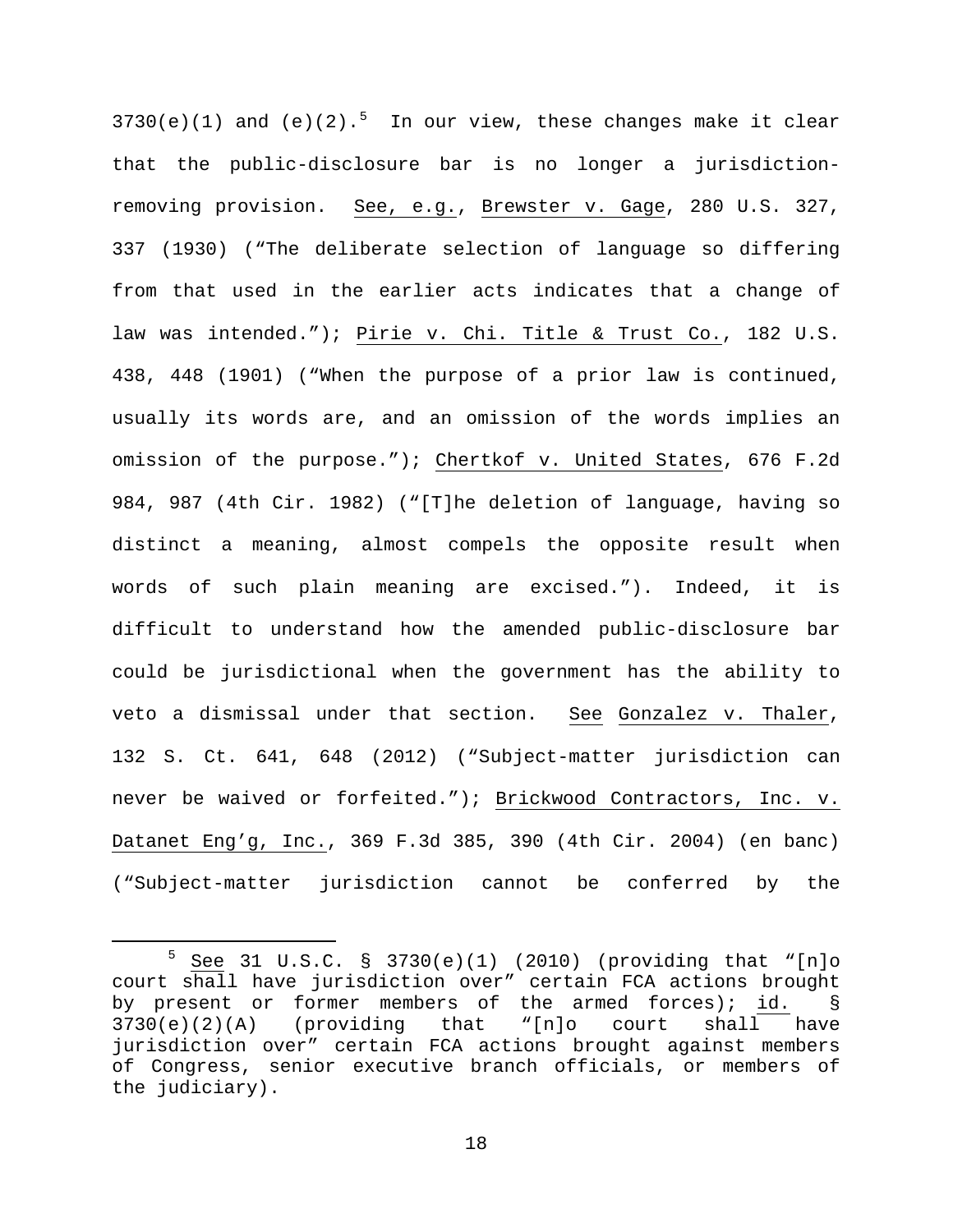$3730(e)(1)$  and  $(e)(2) \cdot$ <sup>[5](#page-17-0)</sup> In our view, these changes make it clear that the public-disclosure bar is no longer a jurisdictionremoving provision. See, e.g., Brewster v. Gage, 280 U.S. 327, 337 (1930) ("The deliberate selection of language so differing from that used in the earlier acts indicates that a change of law was intended."); Pirie v. Chi. Title & Trust Co., 182 U.S. 438, 448 (1901) ("When the purpose of a prior law is continued, usually its words are, and an omission of the words implies an omission of the purpose."); Chertkof v. United States, 676 F.2d 984, 987 (4th Cir. 1982) ("[T]he deletion of language, having so distinct a meaning, almost compels the opposite result when words of such plain meaning are excised."). Indeed, it is difficult to understand how the amended public-disclosure bar could be jurisdictional when the government has the ability to veto a dismissal under that section. See Gonzalez v. Thaler, 132 S. Ct. 641, 648 (2012) ("Subject-matter jurisdiction can never be waived or forfeited."); Brickwood Contractors, Inc. v. Datanet Eng'g, Inc., 369 F.3d 385, 390 (4th Cir. 2004) (en banc) ("Subject-matter jurisdiction cannot be conferred by the

<span id="page-17-0"></span> <sup>5</sup> See 31 U.S.C. § 3730(e)(1) (2010) (providing that "[n]o court shall have jurisdiction over" certain FCA actions brought by present or former members of the armed forces);  $id.$  § 3730(e)(2)(A) (providing that "[n]o court shall have (providing that "[n]o court shall have jurisdiction over" certain FCA actions brought against members of Congress, senior executive branch officials, or members of the judiciary).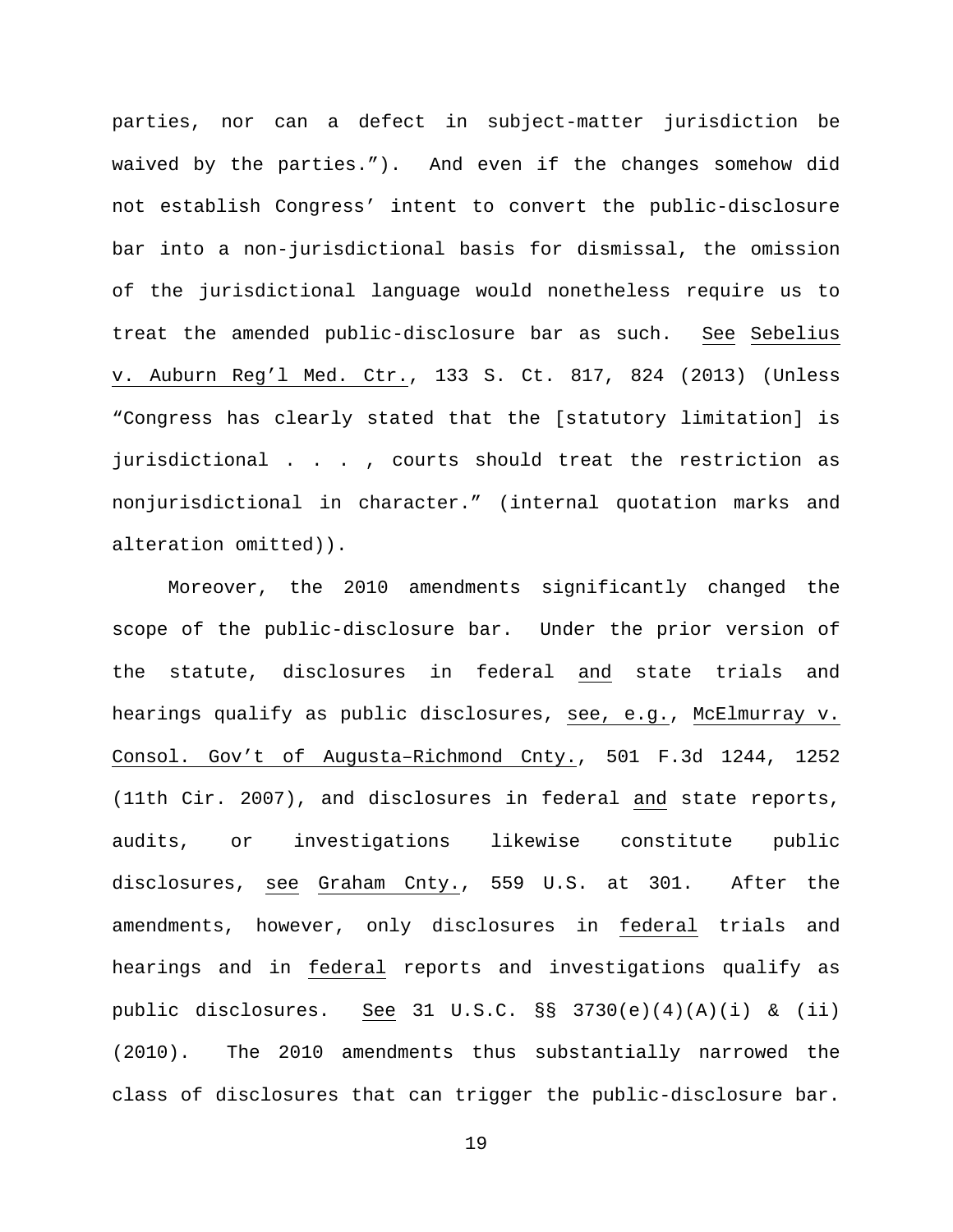parties, nor can a defect in subject-matter jurisdiction be waived by the parties."). And even if the changes somehow did not establish Congress' intent to convert the public-disclosure bar into a non-jurisdictional basis for dismissal, the omission of the jurisdictional language would nonetheless require us to treat the amended public-disclosure bar as such. See Sebelius v. Auburn Reg'l Med. Ctr., 133 S. Ct. 817, 824 (2013) (Unless "Congress has clearly stated that the [statutory limitation] is jurisdictional . . . , courts should treat the restriction as nonjurisdictional in character." (internal quotation marks and alteration omitted)).

Moreover, the 2010 amendments significantly changed the scope of the public-disclosure bar. Under the prior version of the statute, disclosures in federal and state trials and hearings qualify as public disclosures, see, e.g., McElmurray v. Consol. Gov't of Augusta–Richmond Cnty., 501 F.3d 1244, 1252 (11th Cir. 2007), and disclosures in federal and state reports, audits, or investigations likewise constitute public disclosures, see Graham Cnty., 559 U.S. at 301. After the amendments, however, only disclosures in federal trials and hearings and in federal reports and investigations qualify as public disclosures. See 31 U.S.C.  $\S$  3730(e)(4)(A)(i) & (ii) (2010). The 2010 amendments thus substantially narrowed the class of disclosures that can trigger the public-disclosure bar.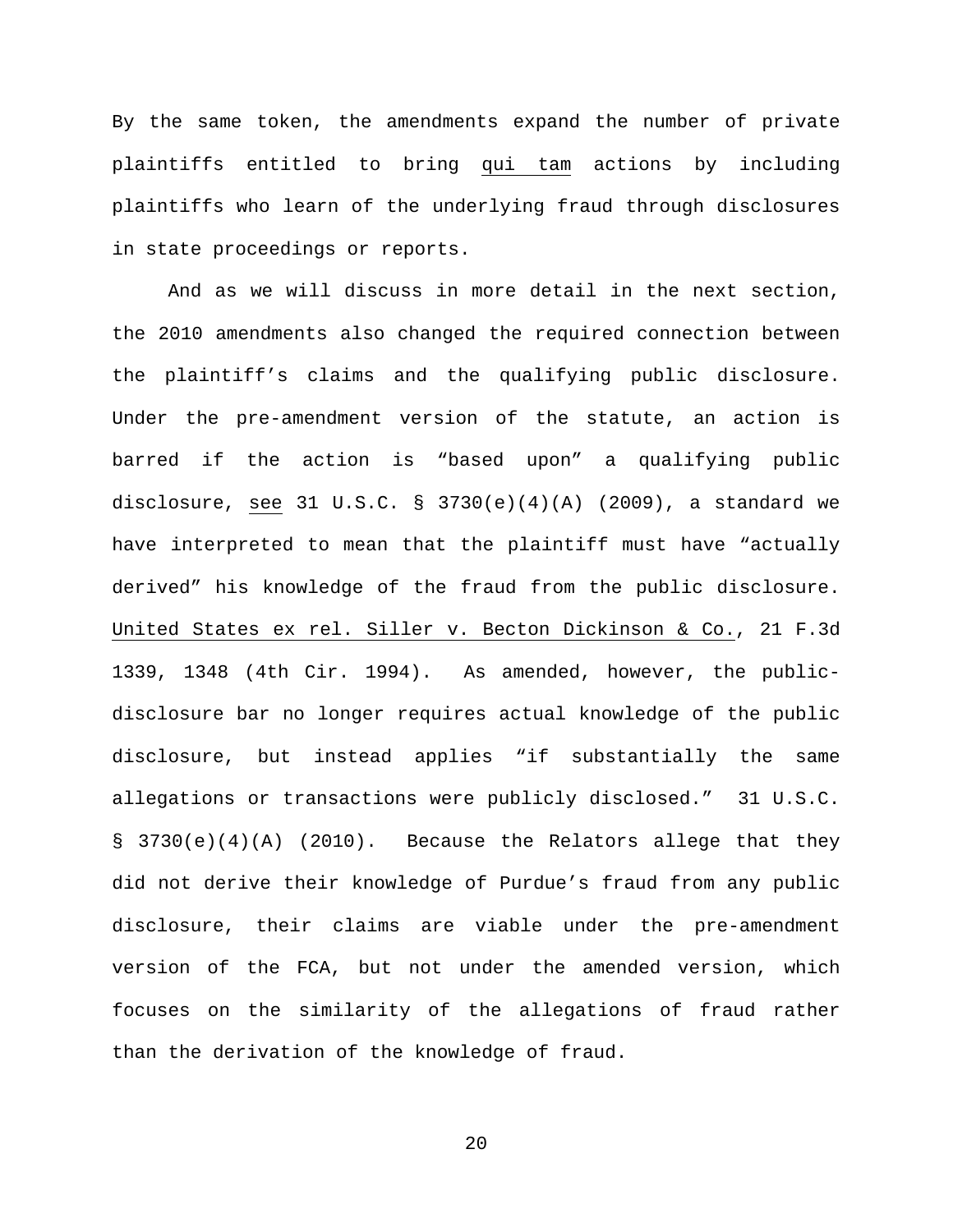By the same token, the amendments expand the number of private plaintiffs entitled to bring qui tam actions by including plaintiffs who learn of the underlying fraud through disclosures in state proceedings or reports.

And as we will discuss in more detail in the next section, the 2010 amendments also changed the required connection between the plaintiff's claims and the qualifying public disclosure. Under the pre-amendment version of the statute, an action is barred if the action is "based upon" a qualifying public disclosure, see 31 U.S.C. § 3730(e)(4)(A) (2009), a standard we have interpreted to mean that the plaintiff must have "actually derived" his knowledge of the fraud from the public disclosure. United States ex rel. Siller v. Becton Dickinson & Co., 21 F.3d 1339, 1348 (4th Cir. 1994). As amended, however, the publicdisclosure bar no longer requires actual knowledge of the public disclosure, but instead applies "if substantially the same allegations or transactions were publicly disclosed." 31 U.S.C.  $\S$  3730(e)(4)(A) (2010). Because the Relators allege that they did not derive their knowledge of Purdue's fraud from any public disclosure, their claims are viable under the pre-amendment version of the FCA, but not under the amended version, which focuses on the similarity of the allegations of fraud rather than the derivation of the knowledge of fraud.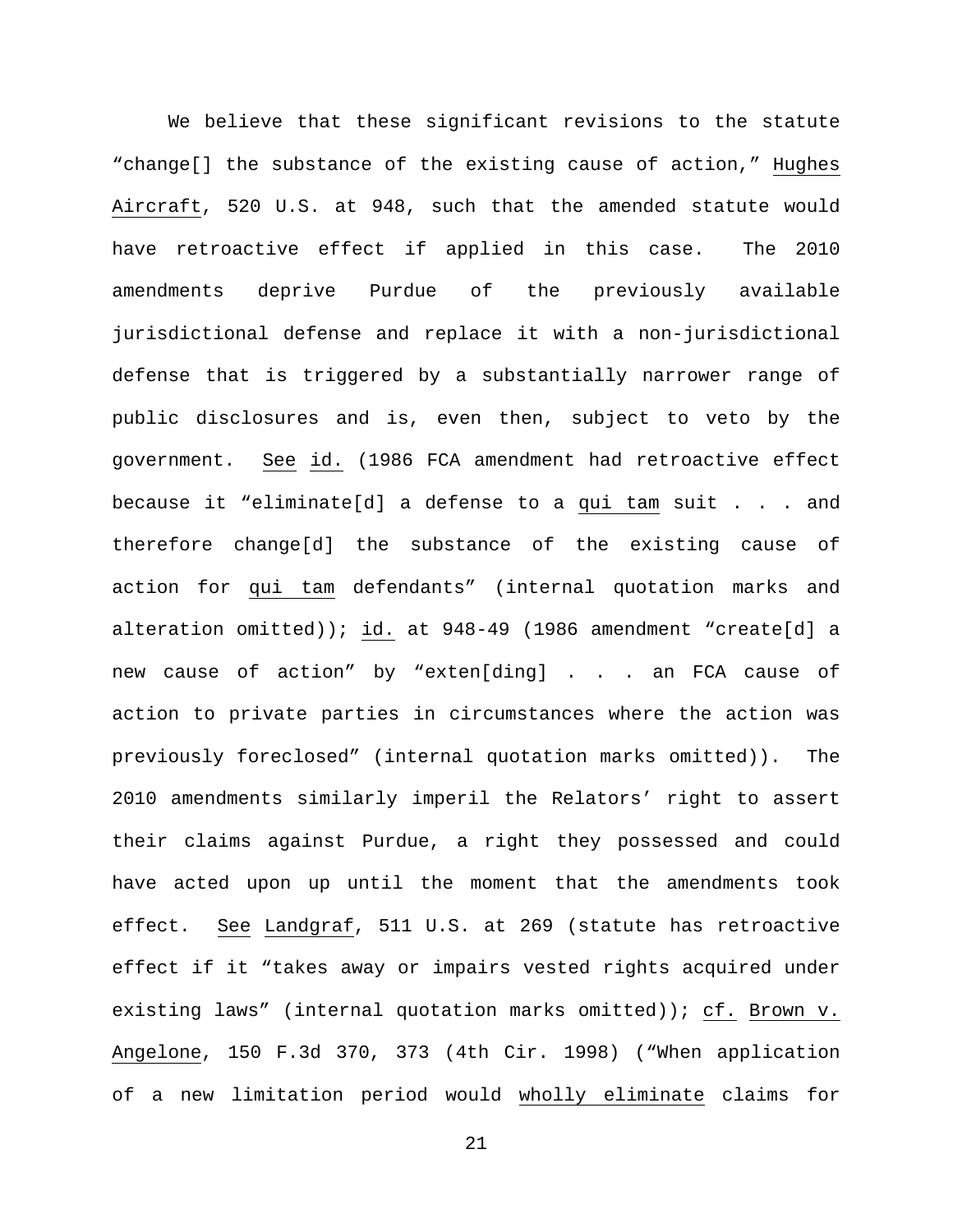We believe that these significant revisions to the statute "change[] the substance of the existing cause of action," Hughes Aircraft, 520 U.S. at 948, such that the amended statute would have retroactive effect if applied in this case. The 2010 amendments deprive Purdue of the previously available jurisdictional defense and replace it with a non-jurisdictional defense that is triggered by a substantially narrower range of public disclosures and is, even then, subject to veto by the government. See id. (1986 FCA amendment had retroactive effect because it "eliminate[d] a defense to a qui tam suit . . . and therefore change[d] the substance of the existing cause of action for qui tam defendants" (internal quotation marks and alteration omitted)); id. at 948-49 (1986 amendment "create[d] a new cause of action" by "exten[ding] . . . an FCA cause of action to private parties in circumstances where the action was previously foreclosed" (internal quotation marks omitted)). The 2010 amendments similarly imperil the Relators' right to assert their claims against Purdue, a right they possessed and could have acted upon up until the moment that the amendments took effect. See Landgraf, 511 U.S. at 269 (statute has retroactive effect if it "takes away or impairs vested rights acquired under existing laws" (internal quotation marks omitted)); cf. Brown v. Angelone, 150 F.3d 370, 373 (4th Cir. 1998) ("When application of a new limitation period would wholly eliminate claims for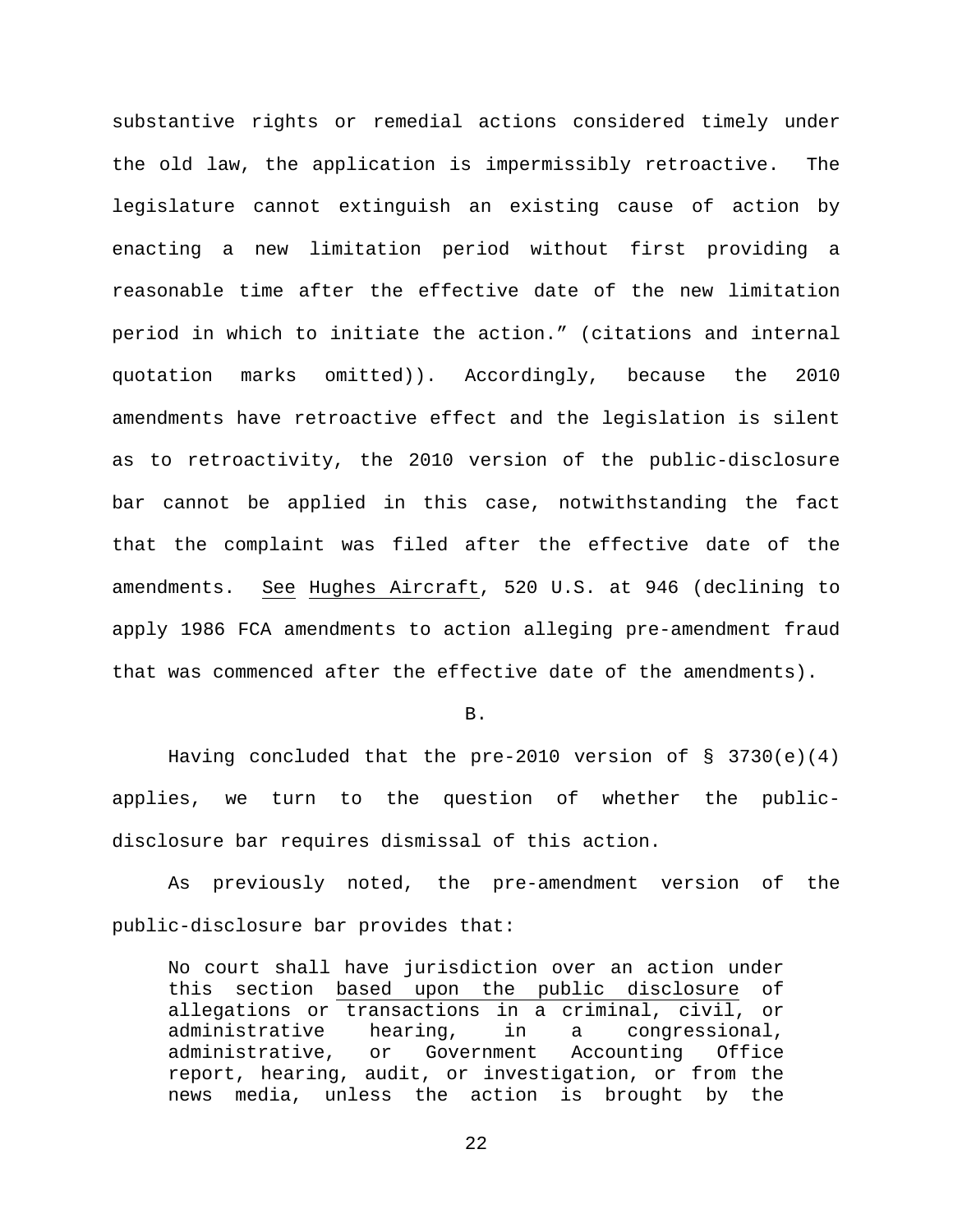substantive rights or remedial actions considered timely under the old law, the application is impermissibly retroactive. The legislature cannot extinguish an existing cause of action by enacting a new limitation period without first providing a reasonable time after the effective date of the new limitation period in which to initiate the action." (citations and internal quotation marks omitted)). Accordingly, because the 2010 amendments have retroactive effect and the legislation is silent as to retroactivity, the 2010 version of the public-disclosure bar cannot be applied in this case, notwithstanding the fact that the complaint was filed after the effective date of the amendments. See Hughes Aircraft, 520 U.S. at 946 (declining to apply 1986 FCA amendments to action alleging pre-amendment fraud that was commenced after the effective date of the amendments).

B.

Having concluded that the pre-2010 version of  $\S$  3730(e)(4) applies, we turn to the question of whether the publicdisclosure bar requires dismissal of this action.

As previously noted, the pre-amendment version of the public-disclosure bar provides that:

No court shall have jurisdiction over an action under this section based upon the public disclosure of allegations or transactions in a criminal, civil, or administrative hearing, in a congressional,<br>administrative, or Government Accounting Office administrative, or report, hearing, audit, or investigation, or from the news media, unless the action is brought by the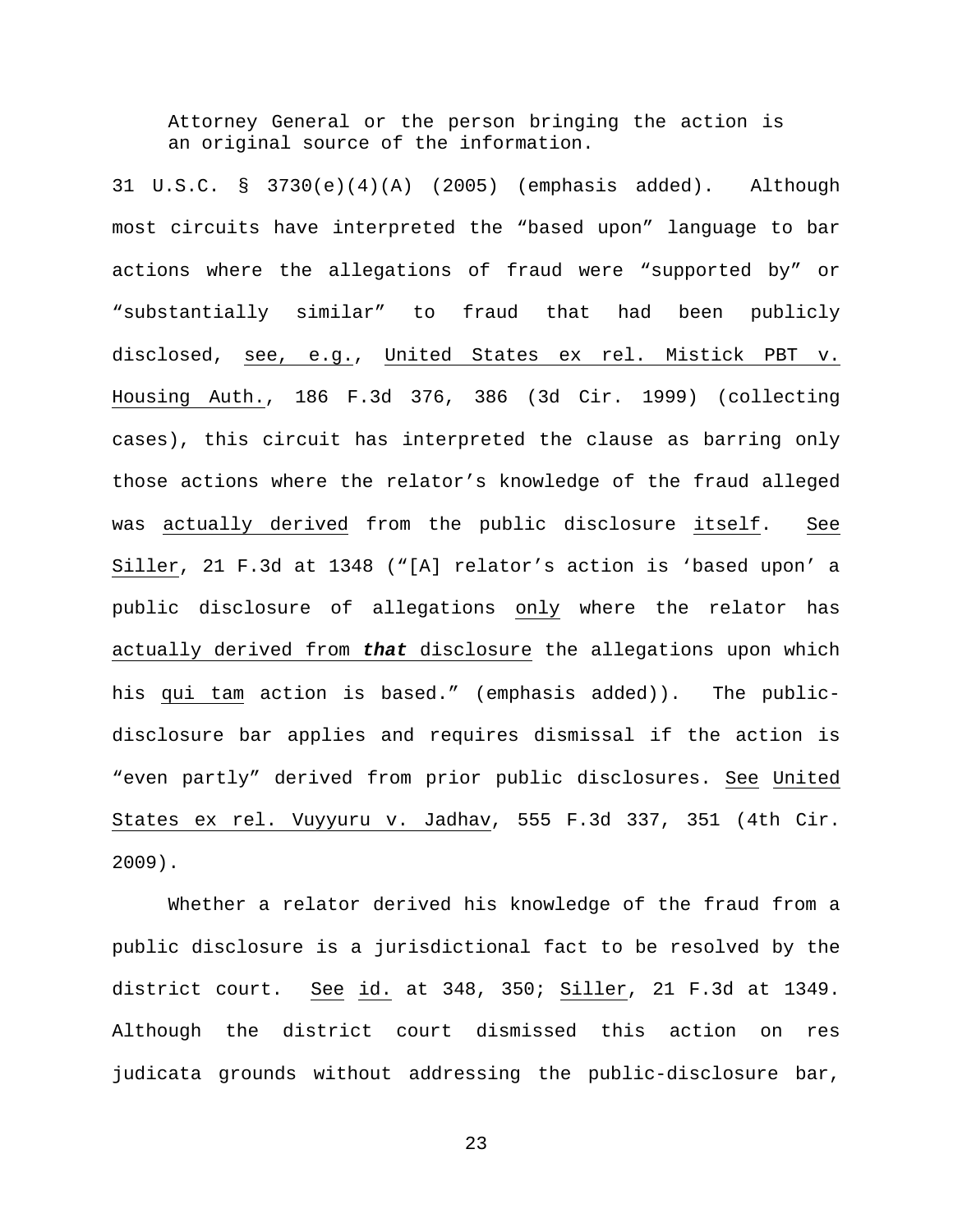Attorney General or the person bringing the action is an original source of the information.

31 U.S.C. § 3730(e)(4)(A) (2005) (emphasis added). Although most circuits have interpreted the "based upon" language to bar actions where the allegations of fraud were "supported by" or "substantially similar" to fraud that had been publicly disclosed, see, e.g., United States ex rel. Mistick PBT v. Housing Auth., 186 F.3d 376, 386 (3d Cir. 1999) (collecting cases), this circuit has interpreted the clause as barring only those actions where the relator's knowledge of the fraud alleged was actually derived from the public disclosure itself. See Siller, 21 F.3d at 1348 ("[A] relator's action is 'based upon' a public disclosure of allegations only where the relator has actually derived from *that* disclosure the allegations upon which his qui tam action is based." (emphasis added)). The publicdisclosure bar applies and requires dismissal if the action is "even partly" derived from prior public disclosures. See United States ex rel. Vuyyuru v. Jadhav, 555 F.3d 337, 351 (4th Cir. 2009).

Whether a relator derived his knowledge of the fraud from a public disclosure is a jurisdictional fact to be resolved by the district court. See id. at 348, 350; Siller, 21 F.3d at 1349. Although the district court dismissed this action on res judicata grounds without addressing the public-disclosure bar,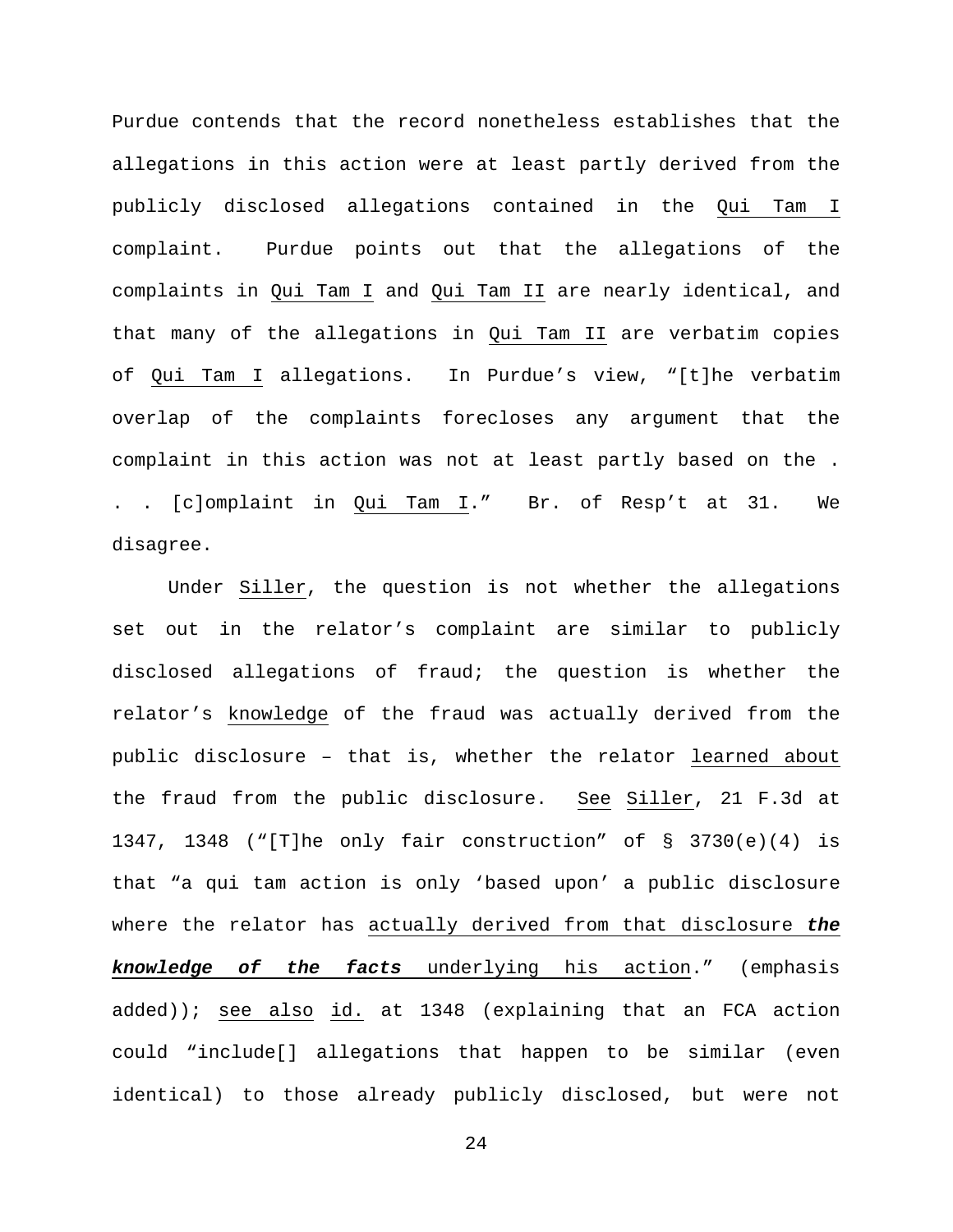Purdue contends that the record nonetheless establishes that the allegations in this action were at least partly derived from the publicly disclosed allegations contained in the Qui Tam I complaint. Purdue points out that the allegations of the complaints in Qui Tam I and Qui Tam II are nearly identical, and that many of the allegations in Qui Tam II are verbatim copies of Qui Tam I allegations. In Purdue's view, "[t]he verbatim overlap of the complaints forecloses any argument that the complaint in this action was not at least partly based on the . . . [c]omplaint in Qui Tam I." Br. of Resp't at 31. We disagree.

Under Siller, the question is not whether the allegations set out in the relator's complaint are similar to publicly disclosed allegations of fraud; the question is whether the relator's knowledge of the fraud was actually derived from the public disclosure – that is, whether the relator learned about the fraud from the public disclosure. See Siller, 21 F.3d at 1347, 1348 ("[T]he only fair construction" of § 3730(e)(4) is that "a qui tam action is only 'based upon' a public disclosure where the relator has actually derived from that disclosure *the knowledge of the facts* underlying his action." (emphasis added)); see also id. at 1348 (explaining that an FCA action could "include[] allegations that happen to be similar (even identical) to those already publicly disclosed, but were not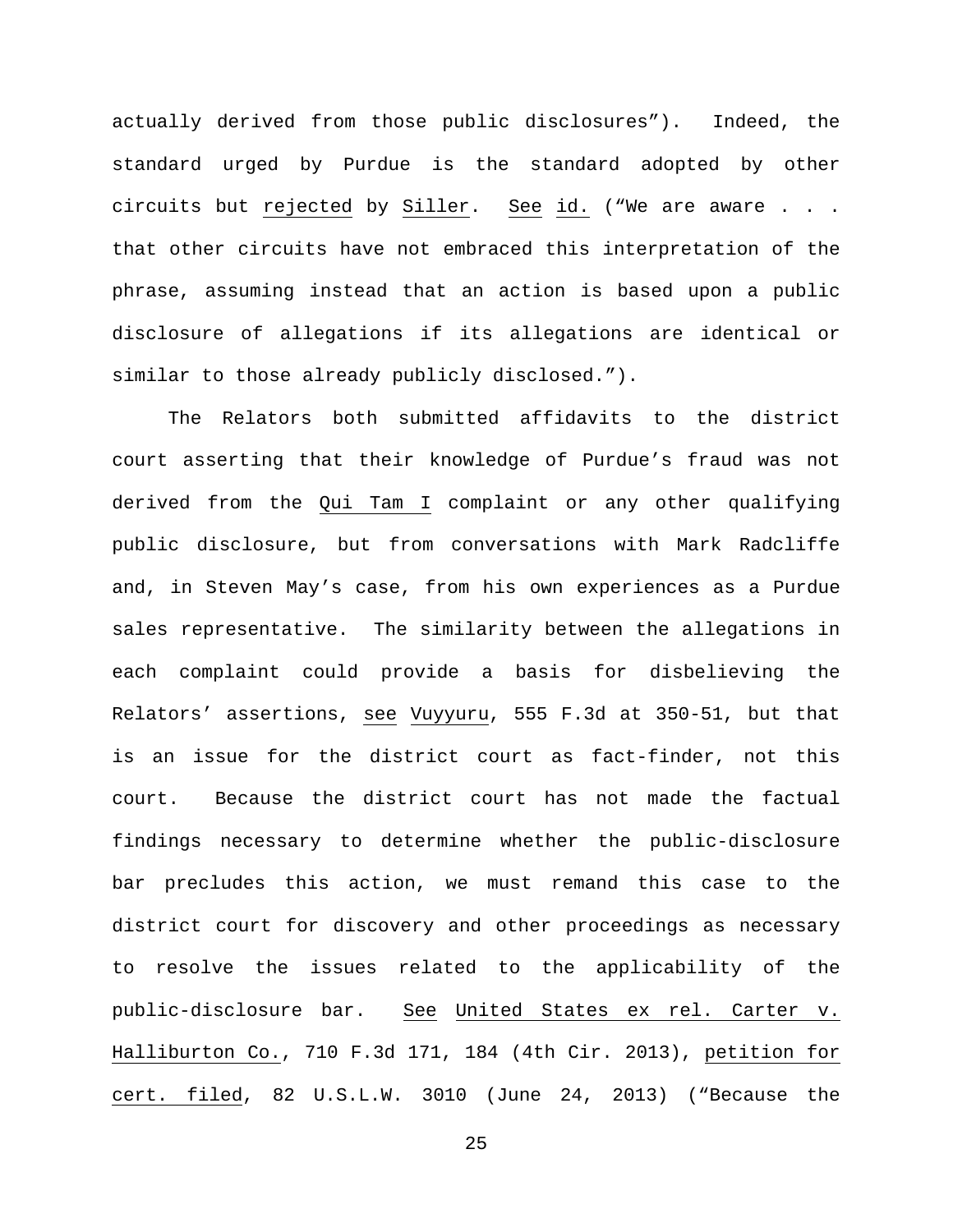actually derived from those public disclosures"). Indeed, the standard urged by Purdue is the standard adopted by other circuits but rejected by Siller. See id. ("We are aware . . . that other circuits have not embraced this interpretation of the phrase, assuming instead that an action is based upon a public disclosure of allegations if its allegations are identical or similar to those already publicly disclosed.").

The Relators both submitted affidavits to the district court asserting that their knowledge of Purdue's fraud was not derived from the Qui Tam I complaint or any other qualifying public disclosure, but from conversations with Mark Radcliffe and, in Steven May's case, from his own experiences as a Purdue sales representative. The similarity between the allegations in each complaint could provide a basis for disbelieving the Relators' assertions, see Vuyyuru, 555 F.3d at 350-51, but that is an issue for the district court as fact-finder, not this court. Because the district court has not made the factual findings necessary to determine whether the public-disclosure bar precludes this action, we must remand this case to the district court for discovery and other proceedings as necessary to resolve the issues related to the applicability of the public-disclosure bar. See United States ex rel. Carter v. Halliburton Co., 710 F.3d 171, 184 (4th Cir. 2013), petition for cert. filed, 82 U.S.L.W. 3010 (June 24, 2013) ("Because the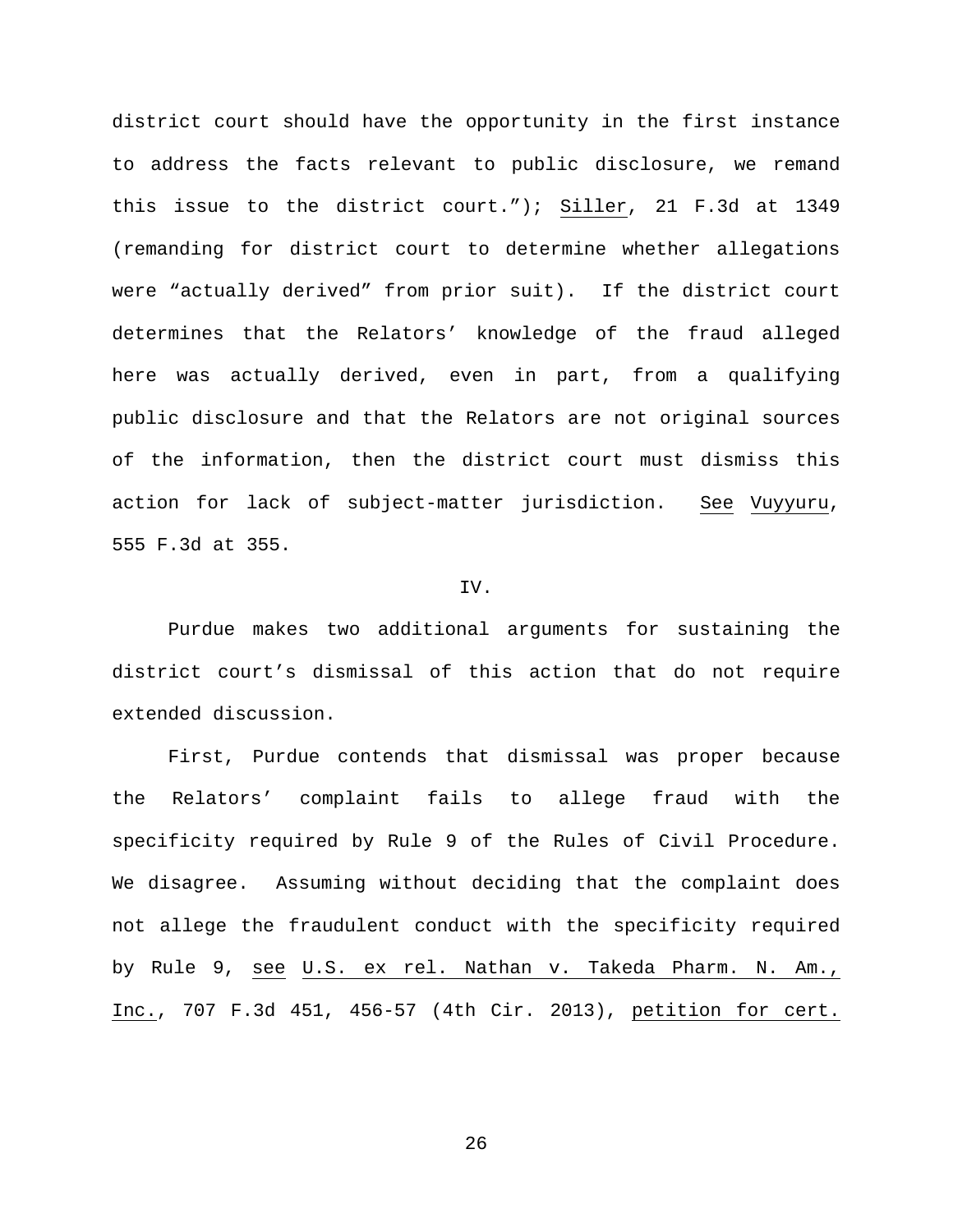district court should have the opportunity in the first instance to address the facts relevant to public disclosure, we remand this issue to the district court."); Siller, 21 F.3d at 1349 (remanding for district court to determine whether allegations were "actually derived" from prior suit). If the district court determines that the Relators' knowledge of the fraud alleged here was actually derived, even in part, from a qualifying public disclosure and that the Relators are not original sources of the information, then the district court must dismiss this action for lack of subject-matter jurisdiction. See Vuyyuru, 555 F.3d at 355.

# IV.

Purdue makes two additional arguments for sustaining the district court's dismissal of this action that do not require extended discussion.

First, Purdue contends that dismissal was proper because the Relators' complaint fails to allege fraud with the specificity required by Rule 9 of the Rules of Civil Procedure. We disagree. Assuming without deciding that the complaint does not allege the fraudulent conduct with the specificity required by Rule 9, see U.S. ex rel. Nathan v. Takeda Pharm. N. Am., Inc., 707 F.3d 451, 456-57 (4th Cir. 2013), petition for cert.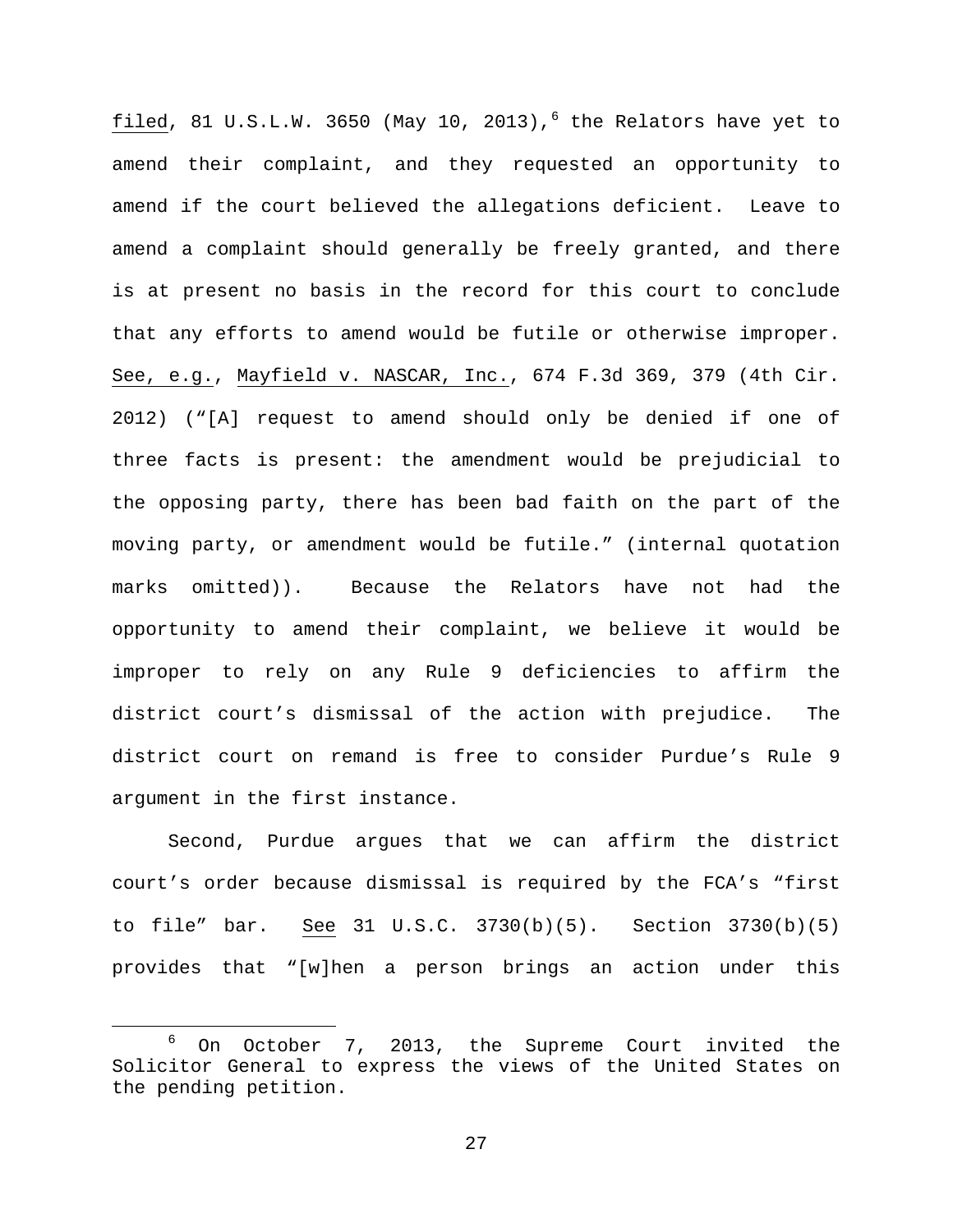filed, 81 U.S.L.W. 3[6](#page-26-0)50 (May 10, 2013), $^6$  the Relators have yet to amend their complaint, and they requested an opportunity to amend if the court believed the allegations deficient. Leave to amend a complaint should generally be freely granted, and there is at present no basis in the record for this court to conclude that any efforts to amend would be futile or otherwise improper. See, e.g., Mayfield v. NASCAR, Inc., 674 F.3d 369, 379 (4th Cir. 2012) ("[A] request to amend should only be denied if one of three facts is present: the amendment would be prejudicial to the opposing party, there has been bad faith on the part of the moving party, or amendment would be futile." (internal quotation marks omitted)). Because the Relators have not had the opportunity to amend their complaint, we believe it would be improper to rely on any Rule 9 deficiencies to affirm the district court's dismissal of the action with prejudice. The district court on remand is free to consider Purdue's Rule 9 argument in the first instance.

Second, Purdue argues that we can affirm the district court's order because dismissal is required by the FCA's "first to file" bar. See 31 U.S.C. 3730(b)(5). Section 3730(b)(5) provides that "[w]hen a person brings an action under this

<span id="page-26-0"></span> $6$  On October 7, 2013, the Supreme Court invited the Solicitor General to express the views of the United States on the pending petition.